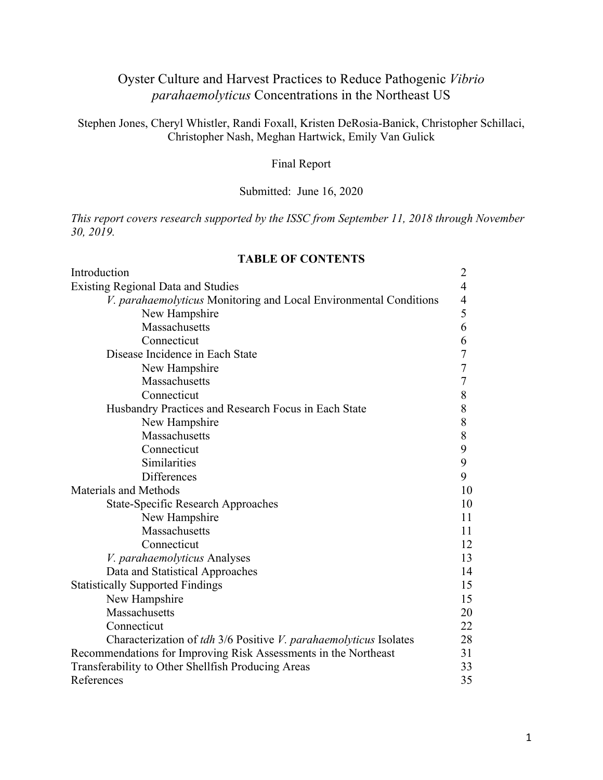# Oyster Culture and Harvest Practices to Reduce Pathogenic *Vibrio parahaemolyticus* Concentrations in the Northeast US

Stephen Jones, Cheryl Whistler, Randi Foxall, Kristen DeRosia-Banick, Christopher Schillaci, Christopher Nash, Meghan Hartwick, Emily Van Gulick

# Final Report

## Submitted: June 16, 2020

*This report covers research supported by the ISSC from September 11, 2018 through November 30, 2019.*

#### **TABLE OF CONTENTS**

| Introduction                                                      | $\overline{2}$ |
|-------------------------------------------------------------------|----------------|
| <b>Existing Regional Data and Studies</b>                         | $\overline{4}$ |
| V. parahaemolyticus Monitoring and Local Environmental Conditions | 4              |
| New Hampshire                                                     | 5              |
| Massachusetts                                                     | 6              |
| Connecticut                                                       | 6              |
| Disease Incidence in Each State                                   | $\overline{7}$ |
| New Hampshire                                                     | 7              |
| Massachusetts                                                     | $\overline{7}$ |
| Connecticut                                                       | 8              |
| Husbandry Practices and Research Focus in Each State              | 8              |
| New Hampshire                                                     | 8              |
| Massachusetts                                                     | $8\,$          |
| Connecticut                                                       | 9              |
| Similarities                                                      | 9              |
| Differences                                                       | 9              |
| Materials and Methods                                             | 10             |
| <b>State-Specific Research Approaches</b>                         | 10             |
| New Hampshire                                                     | 11             |
| Massachusetts                                                     | 11             |
| Connecticut                                                       | 12             |
| V. parahaemolyticus Analyses                                      | 13             |
| Data and Statistical Approaches                                   | 14             |
| <b>Statistically Supported Findings</b>                           | 15             |
| New Hampshire                                                     | 15             |
| Massachusetts                                                     | 20             |
| Connecticut                                                       | 22             |
| Characterization of tdh 3/6 Positive V. parahaemolyticus Isolates | 28             |
| Recommendations for Improving Risk Assessments in the Northeast   | 31             |
| Transferability to Other Shellfish Producing Areas                | 33             |
| References                                                        | 35             |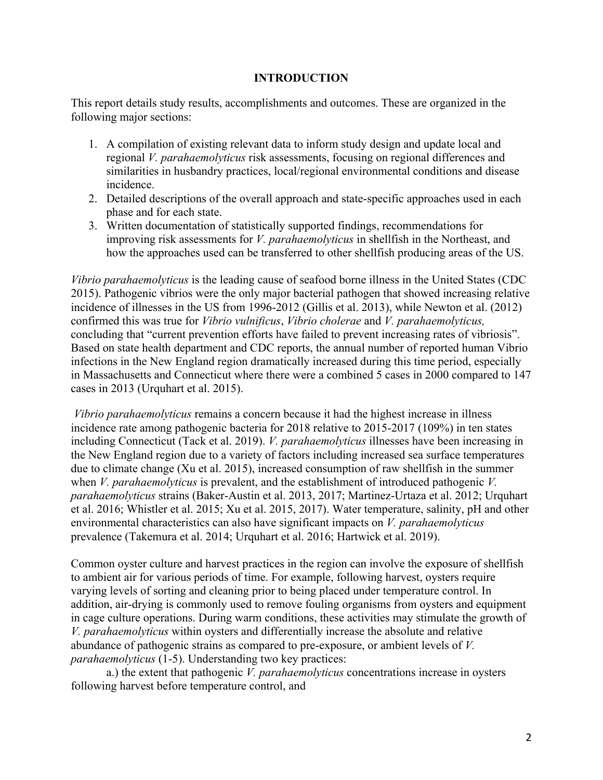### **INTRODUCTION**

This report details study results, accomplishments and outcomes. These are organized in the following major sections:

- 1. A compilation of existing relevant data to inform study design and update local and regional *V. parahaemolyticus* risk assessments, focusing on regional differences and similarities in husbandry practices, local/regional environmental conditions and disease incidence.
- 2. Detailed descriptions of the overall approach and state-specific approaches used in each phase and for each state.
- 3. Written documentation of statistically supported findings, recommendations for improving risk assessments for *V. parahaemolyticus* in shellfish in the Northeast, and how the approaches used can be transferred to other shellfish producing areas of the US.

*Vibrio parahaemolyticus* is the leading cause of seafood borne illness in the United States (CDC 2015). Pathogenic vibrios were the only major bacterial pathogen that showed increasing relative incidence of illnesses in the US from 1996-2012 (Gillis et al. 2013), while Newton et al. (2012) confirmed this was true for *Vibrio vulnificus*, *Vibrio cholerae* and *V. parahaemolyticus,* concluding that "current prevention efforts have failed to prevent increasing rates of vibriosis". Based on state health department and CDC reports, the annual number of reported human Vibrio infections in the New England region dramatically increased during this time period, especially in Massachusetts and Connecticut where there were a combined 5 cases in 2000 compared to 147 cases in 2013 (Urquhart et al. 2015).

*Vibrio parahaemolyticus* remains a concern because it had the highest increase in illness incidence rate among pathogenic bacteria for 2018 relative to 2015-2017 (109%) in ten states including Connecticut (Tack et al. 2019). *V. parahaemolyticus* illnesses have been increasing in the New England region due to a variety of factors including increased sea surface temperatures due to climate change (Xu et al. 2015), increased consumption of raw shellfish in the summer when *V. parahaemolyticus* is prevalent, and the establishment of introduced pathogenic *V. parahaemolyticus* strains (Baker-Austin et al. 2013, 2017; Martinez-Urtaza et al. 2012; Urquhart et al. 2016; Whistler et al. 2015; Xu et al. 2015, 2017). Water temperature, salinity, pH and other environmental characteristics can also have significant impacts on *V. parahaemolyticus*  prevalence (Takemura et al. 2014; Urquhart et al. 2016; Hartwick et al. 2019).

Common oyster culture and harvest practices in the region can involve the exposure of shellfish to ambient air for various periods of time. For example, following harvest, oysters require varying levels of sorting and cleaning prior to being placed under temperature control. In addition, air-drying is commonly used to remove fouling organisms from oysters and equipment in cage culture operations. During warm conditions, these activities may stimulate the growth of *V. parahaemolyticus* within oysters and differentially increase the absolute and relative abundance of pathogenic strains as compared to pre-exposure, or ambient levels of *V. parahaemolyticus* (1-5). Understanding two key practices:

a.) the extent that pathogenic *V. parahaemolyticus* concentrations increase in oysters following harvest before temperature control, and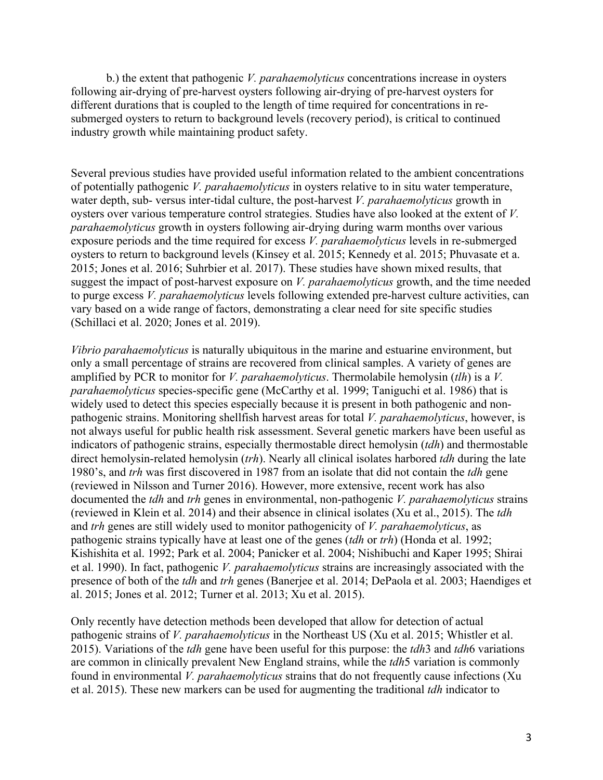b.) the extent that pathogenic *V. parahaemolyticus* concentrations increase in oysters following air-drying of pre-harvest oysters following air-drying of pre-harvest oysters for different durations that is coupled to the length of time required for concentrations in resubmerged oysters to return to background levels (recovery period), is critical to continued industry growth while maintaining product safety.

Several previous studies have provided useful information related to the ambient concentrations of potentially pathogenic *V. parahaemolyticus* in oysters relative to in situ water temperature, water depth, sub- versus inter-tidal culture, the post-harvest *V. parahaemolyticus* growth in oysters over various temperature control strategies. Studies have also looked at the extent of *V. parahaemolyticus* growth in oysters following air-drying during warm months over various exposure periods and the time required for excess *V. parahaemolyticus* levels in re-submerged oysters to return to background levels (Kinsey et al. 2015; Kennedy et al. 2015; Phuvasate et a. 2015; Jones et al. 2016; Suhrbier et al. 2017). These studies have shown mixed results, that suggest the impact of post-harvest exposure on *V. parahaemolyticus* growth, and the time needed to purge excess *V. parahaemolyticus* levels following extended pre-harvest culture activities, can vary based on a wide range of factors, demonstrating a clear need for site specific studies (Schillaci et al. 2020; Jones et al. 2019).

*Vibrio parahaemolyticus* is naturally ubiquitous in the marine and estuarine environment, but only a small percentage of strains are recovered from clinical samples. A variety of genes are amplified by PCR to monitor for *V. parahaemolyticus*. Thermolabile hemolysin (*tlh*) is a *V. parahaemolyticus* species-specific gene (McCarthy et al. 1999; Taniguchi et al. 1986) that is widely used to detect this species especially because it is present in both pathogenic and nonpathogenic strains. Monitoring shellfish harvest areas for total *V. parahaemolyticus*, however, is not always useful for public health risk assessment. Several genetic markers have been useful as indicators of pathogenic strains, especially thermostable direct hemolysin (*tdh*) and thermostable direct hemolysin-related hemolysin (*trh*). Nearly all clinical isolates harbored *tdh* during the late 1980's, and *trh* was first discovered in 1987 from an isolate that did not contain the *tdh* gene (reviewed in Nilsson and Turner 2016). However, more extensive, recent work has also documented the *tdh* and *trh* genes in environmental, non-pathogenic *V. parahaemolyticus* strains (reviewed in Klein et al. 2014) and their absence in clinical isolates (Xu et al., 2015). The *tdh* and *trh* genes are still widely used to monitor pathogenicity of *V. parahaemolyticus*, as pathogenic strains typically have at least one of the genes (*tdh* or *trh*) (Honda et al. 1992; Kishishita et al. 1992; Park et al. 2004; Panicker et al. 2004; Nishibuchi and Kaper 1995; Shirai et al. 1990). In fact, pathogenic *V. parahaemolyticus* strains are increasingly associated with the presence of both of the *tdh* and *trh* genes (Banerjee et al. 2014; DePaola et al. 2003; Haendiges et al. 2015; Jones et al. 2012; Turner et al. 2013; Xu et al. 2015).

Only recently have detection methods been developed that allow for detection of actual pathogenic strains of *V. parahaemolyticus* in the Northeast US (Xu et al. 2015; Whistler et al. 2015). Variations of the *tdh* gene have been useful for this purpose: the *tdh*3 and *tdh*6 variations are common in clinically prevalent New England strains, while the *tdh*5 variation is commonly found in environmental *V. parahaemolyticus* strains that do not frequently cause infections (Xu et al. 2015). These new markers can be used for augmenting the traditional *tdh* indicator to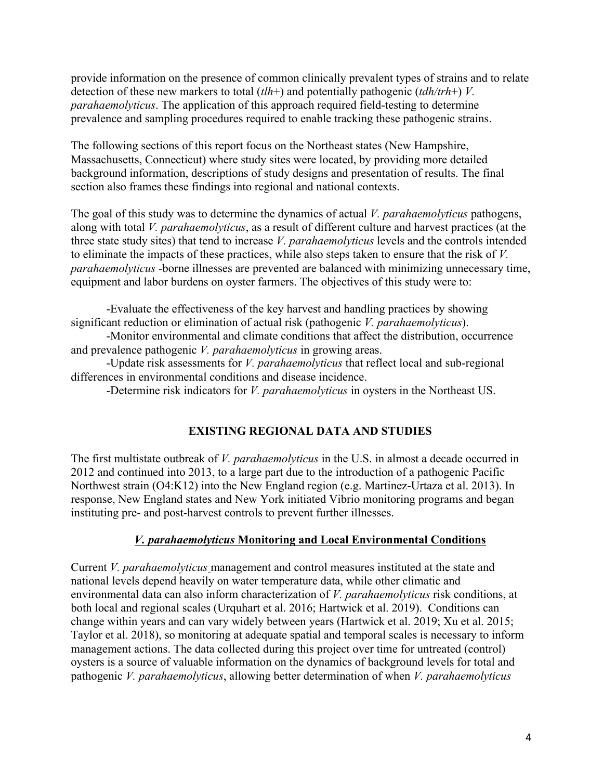provide information on the presence of common clinically prevalent types of strains and to relate detection of these new markers to total (*tlh*+) and potentially pathogenic (*tdh/trh*+) *V. parahaemolyticus*. The application of this approach required field-testing to determine prevalence and sampling procedures required to enable tracking these pathogenic strains.

The following sections of this report focus on the Northeast states (New Hampshire, Massachusetts, Connecticut) where study sites were located, by providing more detailed background information, descriptions of study designs and presentation of results. The final section also frames these findings into regional and national contexts.

The goal of this study was to determine the dynamics of actual *V. parahaemolyticus* pathogens, along with total *V. parahaemolyticus*, as a result of different culture and harvest practices (at the three state study sites) that tend to increase *V. parahaemolyticus* levels and the controls intended to eliminate the impacts of these practices, while also steps taken to ensure that the risk of *V. parahaemolyticus* -borne illnesses are prevented are balanced with minimizing unnecessary time, equipment and labor burdens on oyster farmers. The objectives of this study were to:

-Evaluate the effectiveness of the key harvest and handling practices by showing significant reduction or elimination of actual risk (pathogenic *V. parahaemolyticus*).

-Monitor environmental and climate conditions that affect the distribution, occurrence and prevalence pathogenic *V. parahaemolyticus* in growing areas.

-Update risk assessments for *V. parahaemolyticus* that reflect local and sub-regional differences in environmental conditions and disease incidence.

-Determine risk indicators for *V. parahaemolyticus* in oysters in the Northeast US.

## **EXISTING REGIONAL DATA AND STUDIES**

The first multistate outbreak of *V. parahaemolyticus* in the U.S. in almost a decade occurred in 2012 and continued into 2013, to a large part due to the introduction of a pathogenic Pacific Northwest strain (O4:K12) into the New England region (e.g. Martinez-Urtaza et al. 2013). In response, New England states and New York initiated Vibrio monitoring programs and began instituting pre- and post-harvest controls to prevent further illnesses.

## *V. parahaemolyticus* **Monitoring and Local Environmental Conditions**

Current *V. parahaemolyticus* management and control measures instituted at the state and national levels depend heavily on water temperature data, while other climatic and environmental data can also inform characterization of *V. parahaemolyticus* risk conditions, at both local and regional scales (Urquhart et al. 2016; Hartwick et al. 2019). Conditions can change within years and can vary widely between years (Hartwick et al. 2019; Xu et al. 2015; Taylor et al. 2018), so monitoring at adequate spatial and temporal scales is necessary to inform management actions. The data collected during this project over time for untreated (control) oysters is a source of valuable information on the dynamics of background levels for total and pathogenic *V. parahaemolyticus*, allowing better determination of when *V. parahaemolyticus*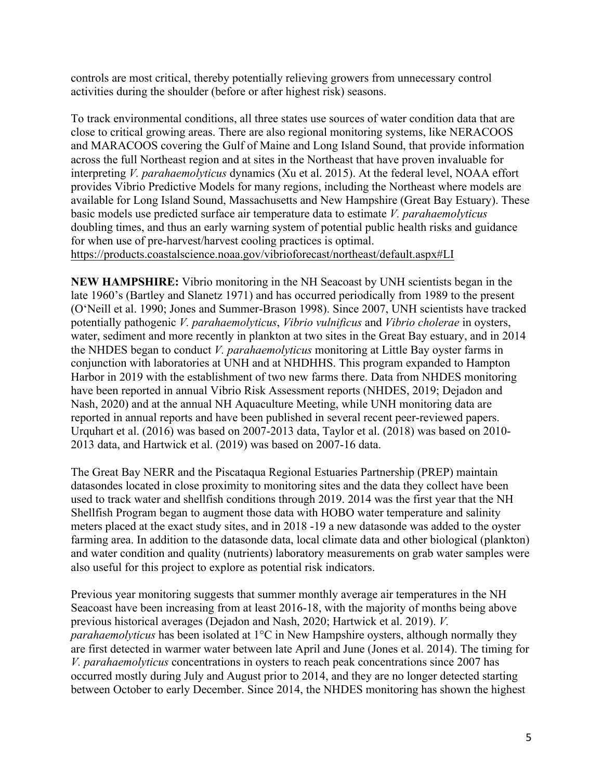controls are most critical, thereby potentially relieving growers from unnecessary control activities during the shoulder (before or after highest risk) seasons.

To track environmental conditions, all three states use sources of water condition data that are close to critical growing areas. There are also regional monitoring systems, like NERACOOS and MARACOOS covering the Gulf of Maine and Long Island Sound, that provide information across the full Northeast region and at sites in the Northeast that have proven invaluable for interpreting *V. parahaemolyticus* dynamics (Xu et al. 2015). At the federal level, NOAA effort provides Vibrio Predictive Models for many regions, including the Northeast where models are available for Long Island Sound, Massachusetts and New Hampshire (Great Bay Estuary). These basic models use predicted surface air temperature data to estimate *V. parahaemolyticus* doubling times, and thus an early warning system of potential public health risks and guidance for when use of pre-harvest/harvest cooling practices is optimal. https://products.coastalscience.noaa.gov/vibrioforecast/northeast/default.aspx#LI

**NEW HAMPSHIRE:** Vibrio monitoring in the NH Seacoast by UNH scientists began in the late 1960's (Bartley and Slanetz 1971) and has occurred periodically from 1989 to the present (O'Neill et al. 1990; Jones and Summer-Brason 1998). Since 2007, UNH scientists have tracked potentially pathogenic *V. parahaemolyticus*, *Vibrio vulnificus* and *Vibrio cholerae* in oysters, water, sediment and more recently in plankton at two sites in the Great Bay estuary, and in 2014 the NHDES began to conduct *V. parahaemolyticus* monitoring at Little Bay oyster farms in conjunction with laboratories at UNH and at NHDHHS. This program expanded to Hampton Harbor in 2019 with the establishment of two new farms there. Data from NHDES monitoring have been reported in annual Vibrio Risk Assessment reports (NHDES, 2019; Dejadon and Nash, 2020) and at the annual NH Aquaculture Meeting, while UNH monitoring data are reported in annual reports and have been published in several recent peer-reviewed papers. Urquhart et al. (2016) was based on 2007-2013 data, Taylor et al. (2018) was based on 2010- 2013 data, and Hartwick et al. (2019) was based on 2007-16 data.

The Great Bay NERR and the Piscataqua Regional Estuaries Partnership (PREP) maintain datasondes located in close proximity to monitoring sites and the data they collect have been used to track water and shellfish conditions through 2019. 2014 was the first year that the NH Shellfish Program began to augment those data with HOBO water temperature and salinity meters placed at the exact study sites, and in 2018 -19 a new datasonde was added to the oyster farming area. In addition to the datasonde data, local climate data and other biological (plankton) and water condition and quality (nutrients) laboratory measurements on grab water samples were also useful for this project to explore as potential risk indicators.

Previous year monitoring suggests that summer monthly average air temperatures in the NH Seacoast have been increasing from at least 2016-18, with the majority of months being above previous historical averages (Dejadon and Nash, 2020; Hartwick et al. 2019). *V. parahaemolyticus* has been isolated at 1°C in New Hampshire oysters, although normally they are first detected in warmer water between late April and June (Jones et al. 2014). The timing for *V. parahaemolyticus* concentrations in oysters to reach peak concentrations since 2007 has occurred mostly during July and August prior to 2014, and they are no longer detected starting between October to early December. Since 2014, the NHDES monitoring has shown the highest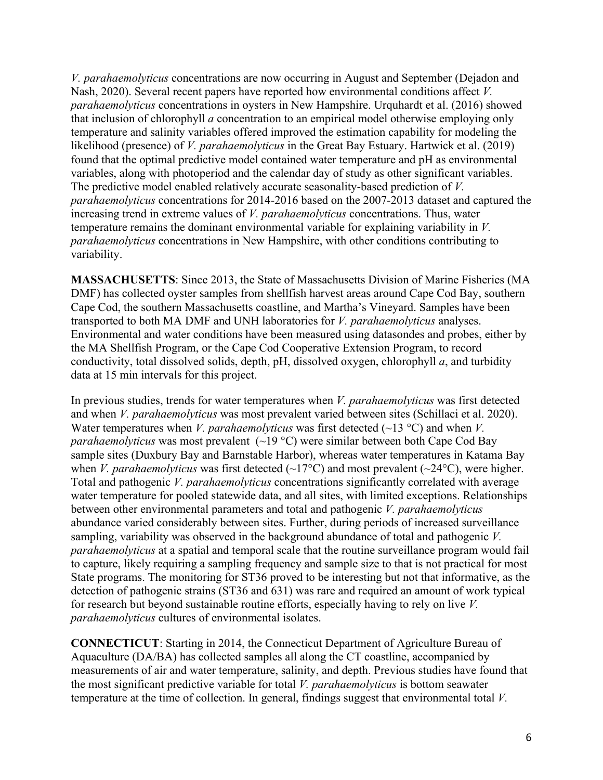*V. parahaemolyticus* concentrations are now occurring in August and September (Dejadon and Nash, 2020). Several recent papers have reported how environmental conditions affect *V. parahaemolyticus* concentrations in oysters in New Hampshire. Urquhardt et al. (2016) showed that inclusion of chlorophyll *a* concentration to an empirical model otherwise employing only temperature and salinity variables offered improved the estimation capability for modeling the likelihood (presence) of *V. parahaemolyticus* in the Great Bay Estuary. Hartwick et al. (2019) found that the optimal predictive model contained water temperature and pH as environmental variables, along with photoperiod and the calendar day of study as other significant variables. The predictive model enabled relatively accurate seasonality-based prediction of *V. parahaemolyticus* concentrations for 2014-2016 based on the 2007-2013 dataset and captured the increasing trend in extreme values of *V. parahaemolyticus* concentrations. Thus, water temperature remains the dominant environmental variable for explaining variability in *V. parahaemolyticus* concentrations in New Hampshire, with other conditions contributing to variability.

**MASSACHUSETTS**: Since 2013, the State of Massachusetts Division of Marine Fisheries (MA DMF) has collected oyster samples from shellfish harvest areas around Cape Cod Bay, southern Cape Cod, the southern Massachusetts coastline, and Martha's Vineyard. Samples have been transported to both MA DMF and UNH laboratories for *V. parahaemolyticus* analyses. Environmental and water conditions have been measured using datasondes and probes, either by the MA Shellfish Program, or the Cape Cod Cooperative Extension Program, to record conductivity, total dissolved solids, depth, pH, dissolved oxygen, chlorophyll *a*, and turbidity data at 15 min intervals for this project.

In previous studies, trends for water temperatures when *V. parahaemolyticus* was first detected and when *V. parahaemolyticus* was most prevalent varied between sites (Schillaci et al. 2020). Water temperatures when *V. parahaemolyticus* was first detected ( $\sim$ 13 °C) and when *V*. *parahaemolyticus* was most prevalent  $(\sim 19 \degree C)$  were similar between both Cape Cod Bay sample sites (Duxbury Bay and Barnstable Harbor), whereas water temperatures in Katama Bay when *V. parahaemolyticus* was first detected  $(\sim 17^{\circ}C)$  and most prevalent  $(\sim 24^{\circ}C)$ , were higher. Total and pathogenic *V. parahaemolyticus* concentrations significantly correlated with average water temperature for pooled statewide data, and all sites, with limited exceptions. Relationships between other environmental parameters and total and pathogenic *V. parahaemolyticus* abundance varied considerably between sites. Further, during periods of increased surveillance sampling, variability was observed in the background abundance of total and pathogenic *V. parahaemolyticus* at a spatial and temporal scale that the routine surveillance program would fail to capture, likely requiring a sampling frequency and sample size to that is not practical for most State programs. The monitoring for ST36 proved to be interesting but not that informative, as the detection of pathogenic strains (ST36 and 631) was rare and required an amount of work typical for research but beyond sustainable routine efforts, especially having to rely on live *V. parahaemolyticus* cultures of environmental isolates.

**CONNECTICUT**: Starting in 2014, the Connecticut Department of Agriculture Bureau of Aquaculture (DA/BA) has collected samples all along the CT coastline, accompanied by measurements of air and water temperature, salinity, and depth. Previous studies have found that the most significant predictive variable for total *V. parahaemolyticus* is bottom seawater temperature at the time of collection. In general, findings suggest that environmental total *V.*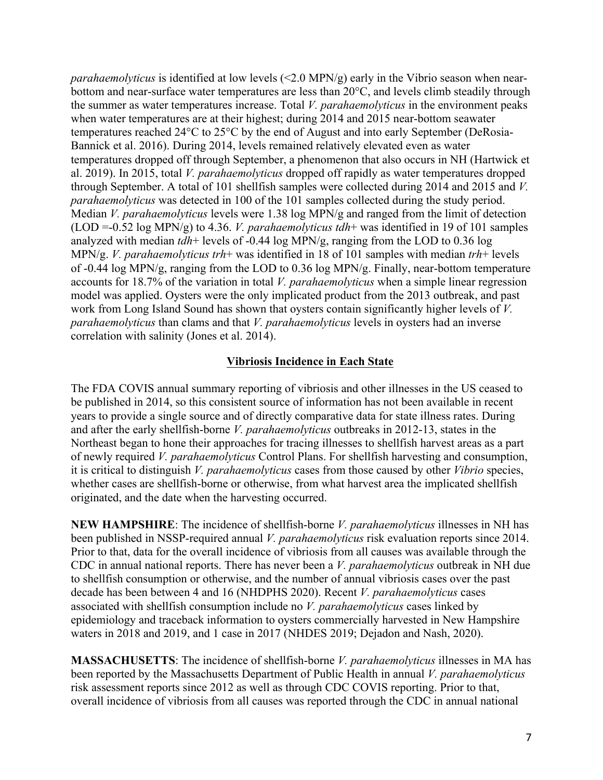*parahaemolyticus* is identified at low levels (<2.0 MPN/g) early in the Vibrio season when nearbottom and near-surface water temperatures are less than 20°C, and levels climb steadily through the summer as water temperatures increase. Total *V. parahaemolyticus* in the environment peaks when water temperatures are at their highest; during 2014 and 2015 near-bottom seawater temperatures reached 24°C to 25°C by the end of August and into early September (DeRosia-Bannick et al. 2016). During 2014, levels remained relatively elevated even as water temperatures dropped off through September, a phenomenon that also occurs in NH (Hartwick et al. 2019). In 2015, total *V. parahaemolyticus* dropped off rapidly as water temperatures dropped through September. A total of 101 shellfish samples were collected during 2014 and 2015 and *V. parahaemolyticus* was detected in 100 of the 101 samples collected during the study period. Median *V. parahaemolyticus* levels were 1.38 log MPN/g and ranged from the limit of detection (LOD =-0.52 log MPN/g) to 4.36. *V. parahaemolyticus tdh*+ was identified in 19 of 101 samples analyzed with median *tdh*+ levels of -0.44 log MPN/g, ranging from the LOD to 0.36 log MPN/g. *V. parahaemolyticus trh*+ was identified in 18 of 101 samples with median *trh*+ levels of -0.44 log MPN/g, ranging from the LOD to 0.36 log MPN/g. Finally, near-bottom temperature accounts for 18.7% of the variation in total *V. parahaemolyticus* when a simple linear regression model was applied. Oysters were the only implicated product from the 2013 outbreak, and past work from Long Island Sound has shown that oysters contain significantly higher levels of *V. parahaemolyticus* than clams and that *V. parahaemolyticus* levels in oysters had an inverse correlation with salinity (Jones et al. 2014).

### **Vibriosis Incidence in Each State**

The FDA COVIS annual summary reporting of vibriosis and other illnesses in the US ceased to be published in 2014, so this consistent source of information has not been available in recent years to provide a single source and of directly comparative data for state illness rates. During and after the early shellfish-borne *V. parahaemolyticus* outbreaks in 2012-13, states in the Northeast began to hone their approaches for tracing illnesses to shellfish harvest areas as a part of newly required *V. parahaemolyticus* Control Plans. For shellfish harvesting and consumption, it is critical to distinguish *V. parahaemolyticus* cases from those caused by other *Vibrio* species, whether cases are shellfish-borne or otherwise, from what harvest area the implicated shellfish originated, and the date when the harvesting occurred.

**NEW HAMPSHIRE**: The incidence of shellfish-borne *V. parahaemolyticus* illnesses in NH has been published in NSSP-required annual *V. parahaemolyticus* risk evaluation reports since 2014. Prior to that, data for the overall incidence of vibriosis from all causes was available through the CDC in annual national reports. There has never been a *V. parahaemolyticus* outbreak in NH due to shellfish consumption or otherwise, and the number of annual vibriosis cases over the past decade has been between 4 and 16 (NHDPHS 2020). Recent *V. parahaemolyticus* cases associated with shellfish consumption include no *V. parahaemolyticus* cases linked by epidemiology and traceback information to oysters commercially harvested in New Hampshire waters in 2018 and 2019, and 1 case in 2017 (NHDES 2019; Dejadon and Nash, 2020).

**MASSACHUSETTS**: The incidence of shellfish-borne *V. parahaemolyticus* illnesses in MA has been reported by the Massachusetts Department of Public Health in annual *V. parahaemolyticus* risk assessment reports since 2012 as well as through CDC COVIS reporting. Prior to that, overall incidence of vibriosis from all causes was reported through the CDC in annual national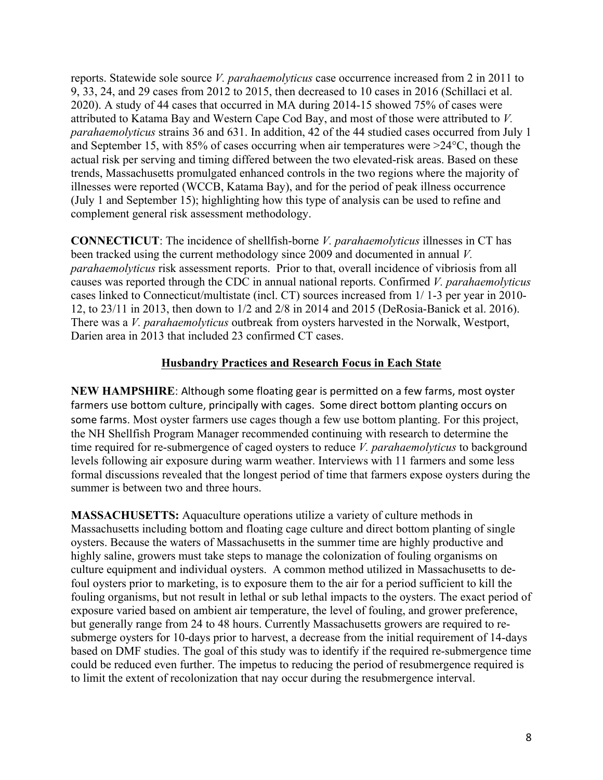reports. Statewide sole source *V. parahaemolyticus* case occurrence increased from 2 in 2011 to 9, 33, 24, and 29 cases from 2012 to 2015, then decreased to 10 cases in 2016 (Schillaci et al. 2020). A study of 44 cases that occurred in MA during 2014-15 showed 75% of cases were attributed to Katama Bay and Western Cape Cod Bay, and most of those were attributed to *V. parahaemolyticus* strains 36 and 631. In addition, 42 of the 44 studied cases occurred from July 1 and September 15, with 85% of cases occurring when air temperatures were >24°C, though the actual risk per serving and timing differed between the two elevated-risk areas. Based on these trends, Massachusetts promulgated enhanced controls in the two regions where the majority of illnesses were reported (WCCB, Katama Bay), and for the period of peak illness occurrence (July 1 and September 15); highlighting how this type of analysis can be used to refine and complement general risk assessment methodology.

**CONNECTICUT**: The incidence of shellfish-borne *V. parahaemolyticus* illnesses in CT has been tracked using the current methodology since 2009 and documented in annual *V. parahaemolyticus* risk assessment reports. Prior to that, overall incidence of vibriosis from all causes was reported through the CDC in annual national reports. Confirmed *V. parahaemolyticus* cases linked to Connecticut/multistate (incl. CT) sources increased from 1/ 1-3 per year in 2010- 12, to 23/11 in 2013, then down to 1/2 and 2/8 in 2014 and 2015 (DeRosia-Banick et al. 2016). There was a *V. parahaemolyticus* outbreak from oysters harvested in the Norwalk, Westport, Darien area in 2013 that included 23 confirmed CT cases.

## **Husbandry Practices and Research Focus in Each State**

**NEW HAMPSHIRE:** Although some floating gear is permitted on a few farms, most oyster farmers use bottom culture, principally with cages. Some direct bottom planting occurs on some farms. Most oyster farmers use cages though a few use bottom planting. For this project, the NH Shellfish Program Manager recommended continuing with research to determine the time required for re-submergence of caged oysters to reduce *V. parahaemolyticus* to background levels following air exposure during warm weather. Interviews with 11 farmers and some less formal discussions revealed that the longest period of time that farmers expose oysters during the summer is between two and three hours.

**MASSACHUSETTS:** Aquaculture operations utilize a variety of culture methods in Massachusetts including bottom and floating cage culture and direct bottom planting of single oysters. Because the waters of Massachusetts in the summer time are highly productive and highly saline, growers must take steps to manage the colonization of fouling organisms on culture equipment and individual oysters. A common method utilized in Massachusetts to defoul oysters prior to marketing, is to exposure them to the air for a period sufficient to kill the fouling organisms, but not result in lethal or sub lethal impacts to the oysters. The exact period of exposure varied based on ambient air temperature, the level of fouling, and grower preference, but generally range from 24 to 48 hours. Currently Massachusetts growers are required to resubmerge oysters for 10-days prior to harvest, a decrease from the initial requirement of 14-days based on DMF studies. The goal of this study was to identify if the required re-submergence time could be reduced even further. The impetus to reducing the period of resubmergence required is to limit the extent of recolonization that nay occur during the resubmergence interval.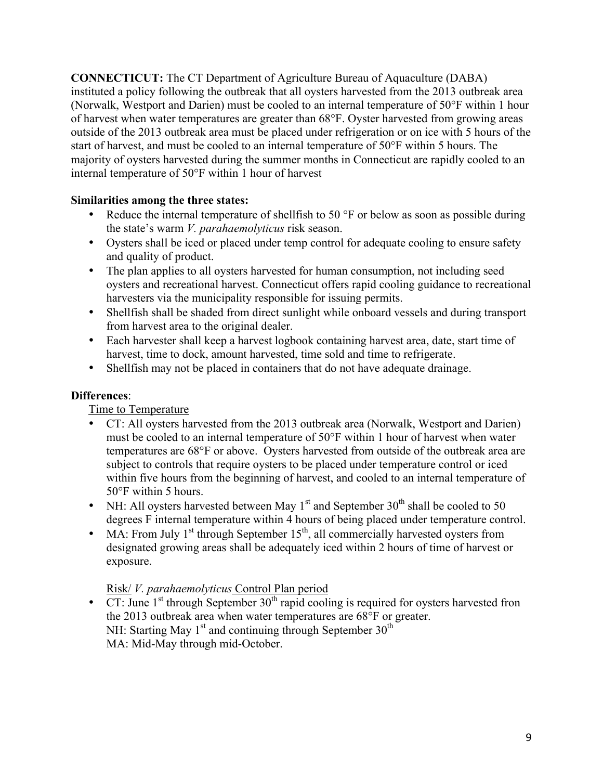**CONNECTICUT:** The CT Department of Agriculture Bureau of Aquaculture (DABA) instituted a policy following the outbreak that all oysters harvested from the 2013 outbreak area (Norwalk, Westport and Darien) must be cooled to an internal temperature of 50°F within 1 hour of harvest when water temperatures are greater than 68°F. Oyster harvested from growing areas outside of the 2013 outbreak area must be placed under refrigeration or on ice with 5 hours of the start of harvest, and must be cooled to an internal temperature of 50°F within 5 hours. The majority of oysters harvested during the summer months in Connecticut are rapidly cooled to an internal temperature of 50°F within 1 hour of harvest

## **Similarities among the three states:**

- Reduce the internal temperature of shellfish to 50 °F or below as soon as possible during the state's warm *V. parahaemolyticus* risk season.
- Oysters shall be iced or placed under temp control for adequate cooling to ensure safety and quality of product.
- The plan applies to all oysters harvested for human consumption, not including seed oysters and recreational harvest. Connecticut offers rapid cooling guidance to recreational harvesters via the municipality responsible for issuing permits.
- Shellfish shall be shaded from direct sunlight while onboard vessels and during transport from harvest area to the original dealer.
- Each harvester shall keep a harvest logbook containing harvest area, date, start time of harvest, time to dock, amount harvested, time sold and time to refrigerate.
- Shellfish may not be placed in containers that do not have adequate drainage.

# **Differences**:

Time to Temperature

- CT: All oysters harvested from the 2013 outbreak area (Norwalk, Westport and Darien) must be cooled to an internal temperature of 50°F within 1 hour of harvest when water temperatures are 68°F or above. Oysters harvested from outside of the outbreak area are subject to controls that require oysters to be placed under temperature control or iced within five hours from the beginning of harvest, and cooled to an internal temperature of 50°F within 5 hours.
- NH: All oysters harvested between May  $1<sup>st</sup>$  and September  $30<sup>th</sup>$  shall be cooled to 50 degrees F internal temperature within 4 hours of being placed under temperature control.
- MA: From July  $1<sup>st</sup>$  through September  $15<sup>th</sup>$ , all commercially harvested oysters from designated growing areas shall be adequately iced within 2 hours of time of harvest or exposure.

## Risk/ *V. parahaemolyticus* Control Plan period

•  $\overline{CT}$ : June 1<sup>st</sup> through September 30<sup>th</sup> rapid cooling is required for oysters harvested fron the 2013 outbreak area when water temperatures are 68°F or greater. NH: Starting May  $1<sup>st</sup>$  and continuing through September  $30<sup>th</sup>$ MA: Mid-May through mid-October.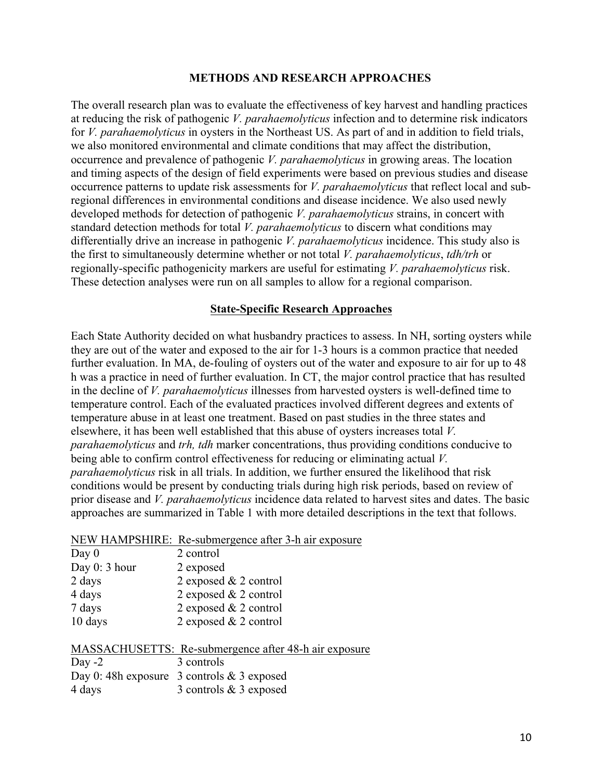#### **METHODS AND RESEARCH APPROACHES**

The overall research plan was to evaluate the effectiveness of key harvest and handling practices at reducing the risk of pathogenic *V. parahaemolyticus* infection and to determine risk indicators for *V. parahaemolyticus* in oysters in the Northeast US. As part of and in addition to field trials, we also monitored environmental and climate conditions that may affect the distribution, occurrence and prevalence of pathogenic *V. parahaemolyticus* in growing areas. The location and timing aspects of the design of field experiments were based on previous studies and disease occurrence patterns to update risk assessments for *V. parahaemolyticus* that reflect local and subregional differences in environmental conditions and disease incidence. We also used newly developed methods for detection of pathogenic *V. parahaemolyticus* strains, in concert with standard detection methods for total *V. parahaemolyticus* to discern what conditions may differentially drive an increase in pathogenic *V. parahaemolyticus* incidence. This study also is the first to simultaneously determine whether or not total *V. parahaemolyticus*, *tdh/trh* or regionally-specific pathogenicity markers are useful for estimating *V. parahaemolyticus* risk. These detection analyses were run on all samples to allow for a regional comparison.

### **State-Specific Research Approaches**

Each State Authority decided on what husbandry practices to assess. In NH, sorting oysters while they are out of the water and exposed to the air for 1-3 hours is a common practice that needed further evaluation. In MA, de-fouling of oysters out of the water and exposure to air for up to 48 h was a practice in need of further evaluation. In CT, the major control practice that has resulted in the decline of *V. parahaemolyticus* illnesses from harvested oysters is well-defined time to temperature control. Each of the evaluated practices involved different degrees and extents of temperature abuse in at least one treatment. Based on past studies in the three states and elsewhere, it has been well established that this abuse of oysters increases total *V. parahaemolyticus* and *trh, tdh* marker concentrations, thus providing conditions conducive to being able to confirm control effectiveness for reducing or eliminating actual *V. parahaemolyticus* risk in all trials. In addition, we further ensured the likelihood that risk conditions would be present by conducting trials during high risk periods, based on review of prior disease and *V. parahaemolyticus* incidence data related to harvest sites and dates. The basic approaches are summarized in Table 1 with more detailed descriptions in the text that follows.

#### NEW HAMPSHIRE: Re-submergence after 3-h air exposure

| Day $0$       | 2 control               |
|---------------|-------------------------|
| Day 0: 3 hour | 2 exposed               |
| 2 days        | 2 exposed $& 2$ control |
| 4 days        | 2 exposed $& 2$ control |
| 7 days        | 2 exposed $& 2$ control |
| 10 days       | 2 exposed $& 2$ control |

|          | MASSACHUSETTS: Re-submergence after 48-h air exposure |
|----------|-------------------------------------------------------|
| Day $-2$ | 3 controls                                            |
|          | Day 0: 48h exposure 3 controls $& 3$ exposed          |
| 4 days   | 3 controls $& 3$ exposed                              |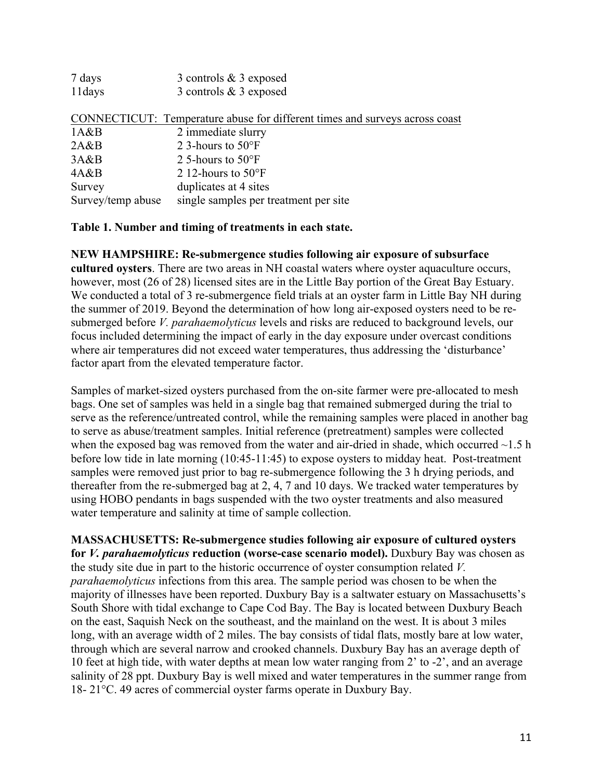| 7 days            | 3 controls $& 3$ exposed                                                    |
|-------------------|-----------------------------------------------------------------------------|
| 11days            | 3 controls $&3$ exposed                                                     |
|                   | CONNECTICUT: Temperature abuse for different times and surveys across coast |
| 1A&B              | 2 immediate slurry                                                          |
| 2A&B              | 2.3-hours to $50^{\circ}$ F                                                 |
| 3A&B              | 2 5-hours to $50^{\circ}$ F                                                 |
| 4A&B              | 2 12-hours to $50^{\circ}$ F                                                |
| Survey            | duplicates at 4 sites                                                       |
| Survey/temp abuse | single samples per treatment per site                                       |

#### **Table 1. Number and timing of treatments in each state.**

**NEW HAMPSHIRE: Re-submergence studies following air exposure of subsurface** 

**cultured oysters**. There are two areas in NH coastal waters where oyster aquaculture occurs, however, most (26 of 28) licensed sites are in the Little Bay portion of the Great Bay Estuary. We conducted a total of 3 re-submergence field trials at an oyster farm in Little Bay NH during the summer of 2019. Beyond the determination of how long air-exposed oysters need to be resubmerged before *V. parahaemolyticus* levels and risks are reduced to background levels, our focus included determining the impact of early in the day exposure under overcast conditions where air temperatures did not exceed water temperatures, thus addressing the 'disturbance' factor apart from the elevated temperature factor.

Samples of market-sized oysters purchased from the on-site farmer were pre-allocated to mesh bags. One set of samples was held in a single bag that remained submerged during the trial to serve as the reference/untreated control, while the remaining samples were placed in another bag to serve as abuse/treatment samples. Initial reference (pretreatment) samples were collected when the exposed bag was removed from the water and air-dried in shade, which occurred  $\sim$ 1.5 h before low tide in late morning (10:45-11:45) to expose oysters to midday heat. Post-treatment samples were removed just prior to bag re-submergence following the 3 h drying periods, and thereafter from the re-submerged bag at 2, 4, 7 and 10 days. We tracked water temperatures by using HOBO pendants in bags suspended with the two oyster treatments and also measured water temperature and salinity at time of sample collection.

**MASSACHUSETTS: Re-submergence studies following air exposure of cultured oysters for** *V. parahaemolyticus* **reduction (worse-case scenario model).** Duxbury Bay was chosen as the study site due in part to the historic occurrence of oyster consumption related *V. parahaemolyticus* infections from this area. The sample period was chosen to be when the majority of illnesses have been reported. Duxbury Bay is a saltwater estuary on Massachusetts's South Shore with tidal exchange to Cape Cod Bay. The Bay is located between Duxbury Beach on the east, Saquish Neck on the southeast, and the mainland on the west. It is about 3 miles long, with an average width of 2 miles. The bay consists of tidal flats, mostly bare at low water, through which are several narrow and crooked channels. Duxbury Bay has an average depth of 10 feet at high tide, with water depths at mean low water ranging from 2' to -2', and an average salinity of 28 ppt. Duxbury Bay is well mixed and water temperatures in the summer range from 18- 21°C. 49 acres of commercial oyster farms operate in Duxbury Bay.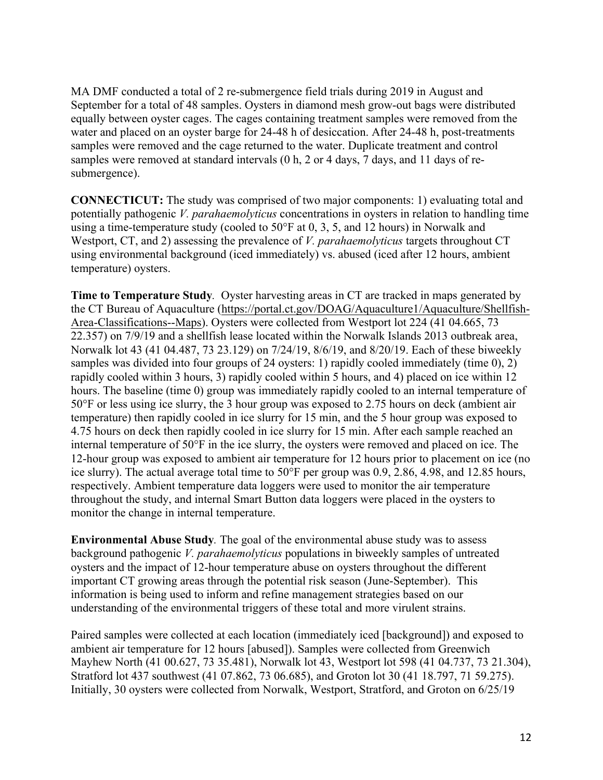MA DMF conducted a total of 2 re-submergence field trials during 2019 in August and September for a total of 48 samples. Oysters in diamond mesh grow-out bags were distributed equally between oyster cages. The cages containing treatment samples were removed from the water and placed on an oyster barge for 24-48 h of desiccation. After 24-48 h, post-treatments samples were removed and the cage returned to the water. Duplicate treatment and control samples were removed at standard intervals (0 h, 2 or 4 days, 7 days, and 11 days of resubmergence).

**CONNECTICUT:** The study was comprised of two major components: 1) evaluating total and potentially pathogenic *V. parahaemolyticus* concentrations in oysters in relation to handling time using a time-temperature study (cooled to 50°F at 0, 3, 5, and 12 hours) in Norwalk and Westport, CT, and 2) assessing the prevalence of *V. parahaemolyticus* targets throughout CT using environmental background (iced immediately) vs. abused (iced after 12 hours, ambient temperature) oysters.

**Time to Temperature Study***.* Oyster harvesting areas in CT are tracked in maps generated by the CT Bureau of Aquaculture (https://portal.ct.gov/DOAG/Aquaculture1/Aquaculture/Shellfish-Area-Classifications--Maps). Oysters were collected from Westport lot 224 (41 04.665, 73 22.357) on 7/9/19 and a shellfish lease located within the Norwalk Islands 2013 outbreak area, Norwalk lot 43 (41 04.487, 73 23.129) on 7/24/19, 8/6/19, and 8/20/19. Each of these biweekly samples was divided into four groups of 24 oysters: 1) rapidly cooled immediately (time 0), 2) rapidly cooled within 3 hours, 3) rapidly cooled within 5 hours, and 4) placed on ice within 12 hours. The baseline (time 0) group was immediately rapidly cooled to an internal temperature of 50°F or less using ice slurry, the 3 hour group was exposed to 2.75 hours on deck (ambient air temperature) then rapidly cooled in ice slurry for 15 min, and the 5 hour group was exposed to 4.75 hours on deck then rapidly cooled in ice slurry for 15 min. After each sample reached an internal temperature of 50°F in the ice slurry, the oysters were removed and placed on ice. The 12-hour group was exposed to ambient air temperature for 12 hours prior to placement on ice (no ice slurry). The actual average total time to 50°F per group was 0.9, 2.86, 4.98, and 12.85 hours, respectively. Ambient temperature data loggers were used to monitor the air temperature throughout the study, and internal Smart Button data loggers were placed in the oysters to monitor the change in internal temperature.

**Environmental Abuse Study***.* The goal of the environmental abuse study was to assess background pathogenic *V. parahaemolyticus* populations in biweekly samples of untreated oysters and the impact of 12-hour temperature abuse on oysters throughout the different important CT growing areas through the potential risk season (June-September). This information is being used to inform and refine management strategies based on our understanding of the environmental triggers of these total and more virulent strains.

Paired samples were collected at each location (immediately iced [background]) and exposed to ambient air temperature for 12 hours [abused]). Samples were collected from Greenwich Mayhew North (41 00.627, 73 35.481), Norwalk lot 43, Westport lot 598 (41 04.737, 73 21.304), Stratford lot 437 southwest (41 07.862, 73 06.685), and Groton lot 30 (41 18.797, 71 59.275). Initially, 30 oysters were collected from Norwalk, Westport, Stratford, and Groton on 6/25/19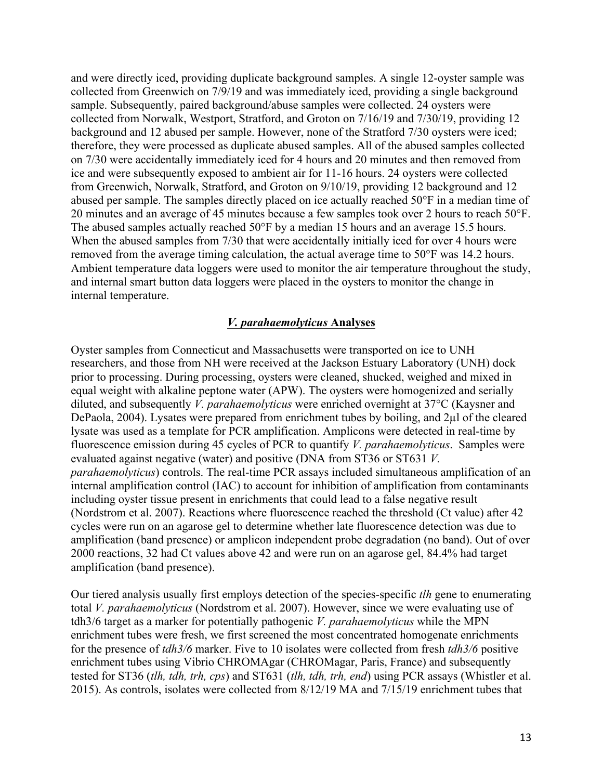and were directly iced, providing duplicate background samples. A single 12-oyster sample was collected from Greenwich on 7/9/19 and was immediately iced, providing a single background sample. Subsequently, paired background/abuse samples were collected. 24 oysters were collected from Norwalk, Westport, Stratford, and Groton on 7/16/19 and 7/30/19, providing 12 background and 12 abused per sample. However, none of the Stratford 7/30 oysters were iced; therefore, they were processed as duplicate abused samples. All of the abused samples collected on 7/30 were accidentally immediately iced for 4 hours and 20 minutes and then removed from ice and were subsequently exposed to ambient air for 11-16 hours. 24 oysters were collected from Greenwich, Norwalk, Stratford, and Groton on 9/10/19, providing 12 background and 12 abused per sample. The samples directly placed on ice actually reached 50°F in a median time of 20 minutes and an average of 45 minutes because a few samples took over 2 hours to reach 50°F. The abused samples actually reached 50°F by a median 15 hours and an average 15.5 hours. When the abused samples from 7/30 that were accidentally initially iced for over 4 hours were removed from the average timing calculation, the actual average time to 50°F was 14.2 hours. Ambient temperature data loggers were used to monitor the air temperature throughout the study, and internal smart button data loggers were placed in the oysters to monitor the change in internal temperature.

### *V. parahaemolyticus* **Analyses**

Oyster samples from Connecticut and Massachusetts were transported on ice to UNH researchers, and those from NH were received at the Jackson Estuary Laboratory (UNH) dock prior to processing. During processing, oysters were cleaned, shucked, weighed and mixed in equal weight with alkaline peptone water (APW). The oysters were homogenized and serially diluted, and subsequently *V. parahaemolyticus* were enriched overnight at 37°C (Kaysner and DePaola, 2004). Lysates were prepared from enrichment tubes by boiling, and 2µl of the cleared lysate was used as a template for PCR amplification. Amplicons were detected in real-time by fluorescence emission during 45 cycles of PCR to quantify *V. parahaemolyticus*. Samples were evaluated against negative (water) and positive (DNA from ST36 or ST631 *V. parahaemolyticus*) controls. The real-time PCR assays included simultaneous amplification of an internal amplification control (IAC) to account for inhibition of amplification from contaminants including oyster tissue present in enrichments that could lead to a false negative result (Nordstrom et al. 2007). Reactions where fluorescence reached the threshold (Ct value) after 42 cycles were run on an agarose gel to determine whether late fluorescence detection was due to amplification (band presence) or amplicon independent probe degradation (no band). Out of over 2000 reactions, 32 had Ct values above 42 and were run on an agarose gel, 84.4% had target amplification (band presence).

Our tiered analysis usually first employs detection of the species-specific *tlh* gene to enumerating total *V. parahaemolyticus* (Nordstrom et al. 2007). However, since we were evaluating use of tdh3/6 target as a marker for potentially pathogenic *V. parahaemolyticus* while the MPN enrichment tubes were fresh, we first screened the most concentrated homogenate enrichments for the presence of *tdh3/6* marker. Five to 10 isolates were collected from fresh *tdh3/6* positive enrichment tubes using Vibrio CHROMAgar (CHROMagar, Paris, France) and subsequently tested for ST36 (*tlh, tdh, trh, cps*) and ST631 (*tlh, tdh, trh, end*) using PCR assays (Whistler et al. 2015). As controls, isolates were collected from 8/12/19 MA and 7/15/19 enrichment tubes that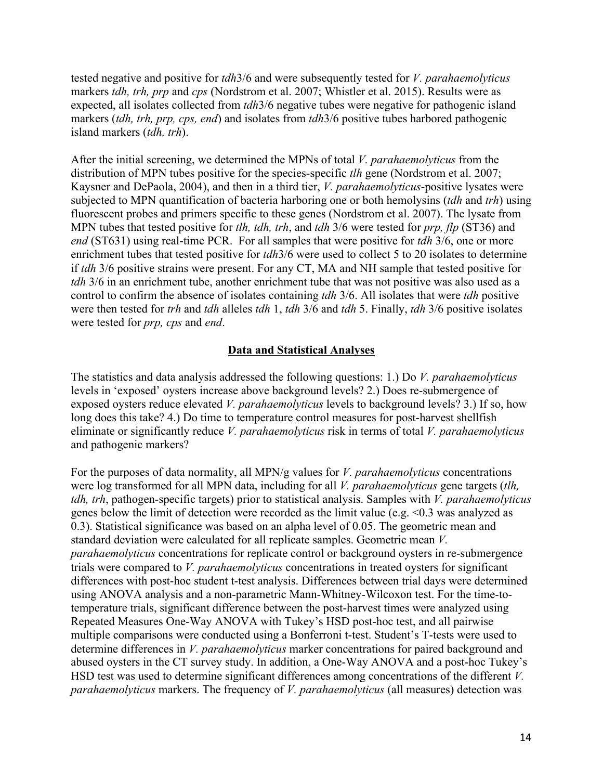tested negative and positive for *tdh*3/6 and were subsequently tested for *V. parahaemolyticus* markers *tdh, trh, prp* and *cps* (Nordstrom et al. 2007; Whistler et al. 2015). Results were as expected, all isolates collected from *tdh*3/6 negative tubes were negative for pathogenic island markers (*tdh, trh, prp, cps, end*) and isolates from *tdh*3/6 positive tubes harbored pathogenic island markers (*tdh, trh*).

After the initial screening, we determined the MPNs of total *V. parahaemolyticus* from the distribution of MPN tubes positive for the species-specific *tlh* gene (Nordstrom et al. 2007; Kaysner and DePaola, 2004), and then in a third tier, *V. parahaemolyticus*-positive lysates were subjected to MPN quantification of bacteria harboring one or both hemolysins (*tdh* and *trh*) using fluorescent probes and primers specific to these genes (Nordstrom et al. 2007). The lysate from MPN tubes that tested positive for *tlh, tdh, trh*, and *tdh* 3/6 were tested for *prp, flp* (ST36) and *end* (ST631) using real-time PCR. For all samples that were positive for *tdh* 3/6, one or more enrichment tubes that tested positive for *tdh*3/6 were used to collect 5 to 20 isolates to determine if *tdh* 3/6 positive strains were present. For any CT, MA and NH sample that tested positive for *tdh* 3/6 in an enrichment tube, another enrichment tube that was not positive was also used as a control to confirm the absence of isolates containing *tdh* 3/6. All isolates that were *tdh* positive were then tested for *trh* and *tdh* alleles *tdh* 1, *tdh* 3/6 and *tdh* 5. Finally, *tdh* 3/6 positive isolates were tested for *prp, cps* and *end*.

## **Data and Statistical Analyses**

The statistics and data analysis addressed the following questions: 1.) Do *V. parahaemolyticus* levels in 'exposed' oysters increase above background levels? 2.) Does re-submergence of exposed oysters reduce elevated *V. parahaemolyticus* levels to background levels? 3.) If so, how long does this take? 4.) Do time to temperature control measures for post-harvest shellfish eliminate or significantly reduce *V. parahaemolyticus* risk in terms of total *V. parahaemolyticus* and pathogenic markers?

For the purposes of data normality, all MPN/g values for *V. parahaemolyticus* concentrations were log transformed for all MPN data, including for all *V. parahaemolyticus* gene targets (*tlh, tdh, trh*, pathogen-specific targets) prior to statistical analysis. Samples with *V. parahaemolyticus*  genes below the limit of detection were recorded as the limit value (e.g. <0.3 was analyzed as 0.3). Statistical significance was based on an alpha level of 0.05. The geometric mean and standard deviation were calculated for all replicate samples. Geometric mean *V. parahaemolyticus* concentrations for replicate control or background oysters in re-submergence trials were compared to *V. parahaemolyticus* concentrations in treated oysters for significant differences with post-hoc student t-test analysis. Differences between trial days were determined using ANOVA analysis and a non-parametric Mann-Whitney-Wilcoxon test. For the time-totemperature trials, significant difference between the post-harvest times were analyzed using Repeated Measures One-Way ANOVA with Tukey's HSD post-hoc test, and all pairwise multiple comparisons were conducted using a Bonferroni t-test. Student's T-tests were used to determine differences in *V. parahaemolyticus* marker concentrations for paired background and abused oysters in the CT survey study. In addition, a One-Way ANOVA and a post-hoc Tukey's HSD test was used to determine significant differences among concentrations of the different *V. parahaemolyticus* markers. The frequency of *V. parahaemolyticus* (all measures) detection was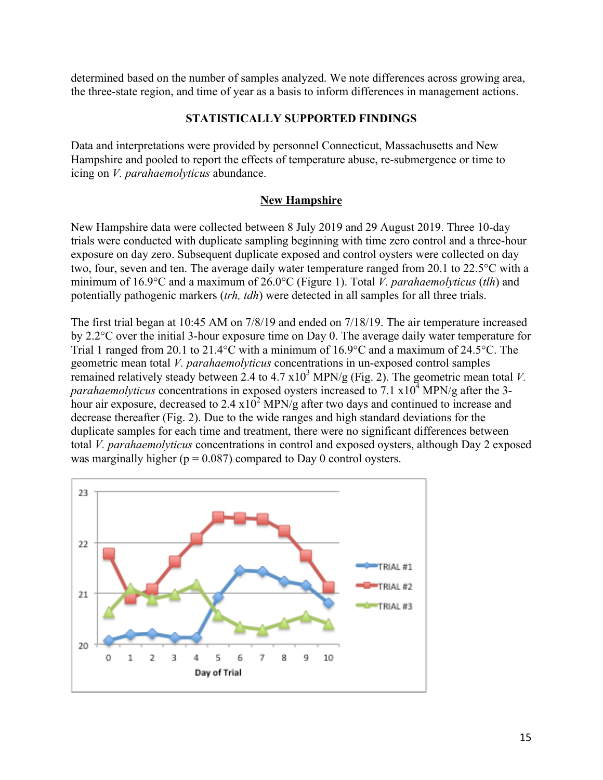determined based on the number of samples analyzed. We note differences across growing area, the three-state region, and time of year as a basis to inform differences in management actions.

### **STATISTICALLY SUPPORTED FINDINGS**

Data and interpretations were provided by personnel Connecticut, Massachusetts and New Hampshire and pooled to report the effects of temperature abuse, re-submergence or time to icing on *V. parahaemolyticus* abundance.

## **New Hampshire**

New Hampshire data were collected between 8 July 2019 and 29 August 2019. Three 10-day trials were conducted with duplicate sampling beginning with time zero control and a three-hour exposure on day zero. Subsequent duplicate exposed and control oysters were collected on day two, four, seven and ten. The average daily water temperature ranged from 20.1 to 22.5°C with a minimum of 16.9°C and a maximum of 26.0°C (Figure 1). Total *V. parahaemolyticus* (*tlh*) and potentially pathogenic markers (*trh, tdh*) were detected in all samples for all three trials.

The first trial began at 10:45 AM on 7/8/19 and ended on 7/18/19. The air temperature increased by 2.2°C over the initial 3-hour exposure time on Day 0. The average daily water temperature for Trial 1 ranged from 20.1 to 21.4°C with a minimum of 16.9°C and a maximum of 24.5°C. The geometric mean total *V. parahaemolyticus* concentrations in un-exposed control samples remained relatively steady between 2.4 to  $4.7 \times 10^3$  MPN/g (Fig. 2). The geometric mean total *V*. *parahaemolyticus* concentrations in exposed oysters increased to  $7.1 \times 10^4$  MPN/g after the 3hour air exposure, decreased to  $2.4 \times 10^2$  MPN/g after two days and continued to increase and decrease thereafter (Fig. 2). Due to the wide ranges and high standard deviations for the duplicate samples for each time and treatment, there were no significant differences between total *V. parahaemolyticus* concentrations in control and exposed oysters, although Day 2 exposed was marginally higher ( $p = 0.087$ ) compared to Day 0 control oysters.

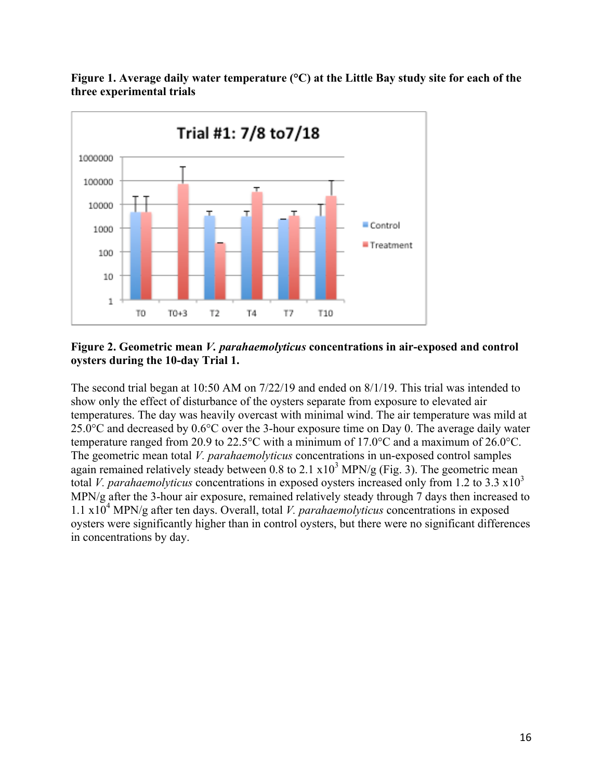

**Figure 1. Average daily water temperature (°C) at the Little Bay study site for each of the three experimental trials**

#### **Figure 2. Geometric mean** *V. parahaemolyticus* **concentrations in air-exposed and control oysters during the 10-day Trial 1.**

The second trial began at 10:50 AM on 7/22/19 and ended on 8/1/19. This trial was intended to show only the effect of disturbance of the oysters separate from exposure to elevated air temperatures. The day was heavily overcast with minimal wind. The air temperature was mild at 25.0°C and decreased by 0.6°C over the 3-hour exposure time on Day 0. The average daily water temperature ranged from 20.9 to 22.5°C with a minimum of 17.0°C and a maximum of 26.0°C. The geometric mean total *V. parahaemolyticus* concentrations in un-exposed control samples again remained relatively steady between  $0.8$  to  $2.1 \times 10^3$  MPN/g (Fig. 3). The geometric mean total *V. parahaemolyticus* concentrations in exposed oysters increased only from 1.2 to 3.3  $\times 10^3$ MPN/g after the 3-hour air exposure, remained relatively steady through 7 days then increased to 1.1 x104 MPN/g after ten days. Overall, total *V. parahaemolyticus* concentrations in exposed oysters were significantly higher than in control oysters, but there were no significant differences in concentrations by day.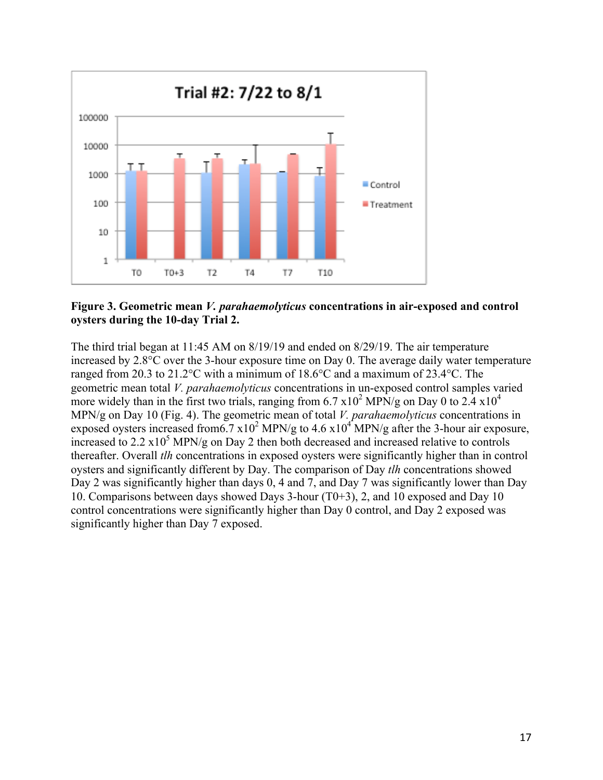

**Figure 3. Geometric mean** *V. parahaemolyticus* **concentrations in air-exposed and control oysters during the 10-day Trial 2.**

The third trial began at 11:45 AM on 8/19/19 and ended on 8/29/19. The air temperature increased by 2.8°C over the 3-hour exposure time on Day 0. The average daily water temperature ranged from 20.3 to 21.2°C with a minimum of 18.6°C and a maximum of 23.4°C. The geometric mean total *V. parahaemolyticus* concentrations in un-exposed control samples varied more widely than in the first two trials, ranging from 6.7  $x10^2$  MPN/g on Day 0 to 2.4  $x10^4$ MPN/g on Day 10 (Fig. 4). The geometric mean of total *V. parahaemolyticus* concentrations in exposed oysters increased from 6.7 x 10<sup>2</sup> MPN/g to 4.6 x 10<sup>4</sup> MPN/g after the 3-hour air exposure, increased to 2.2  $x10^5$  MPN/g on Day 2 then both decreased and increased relative to controls thereafter. Overall *tlh* concentrations in exposed oysters were significantly higher than in control oysters and significantly different by Day. The comparison of Day *tlh* concentrations showed Day 2 was significantly higher than days 0, 4 and 7, and Day 7 was significantly lower than Day 10. Comparisons between days showed Days 3-hour (T0+3), 2, and 10 exposed and Day 10 control concentrations were significantly higher than Day 0 control, and Day 2 exposed was significantly higher than Day 7 exposed.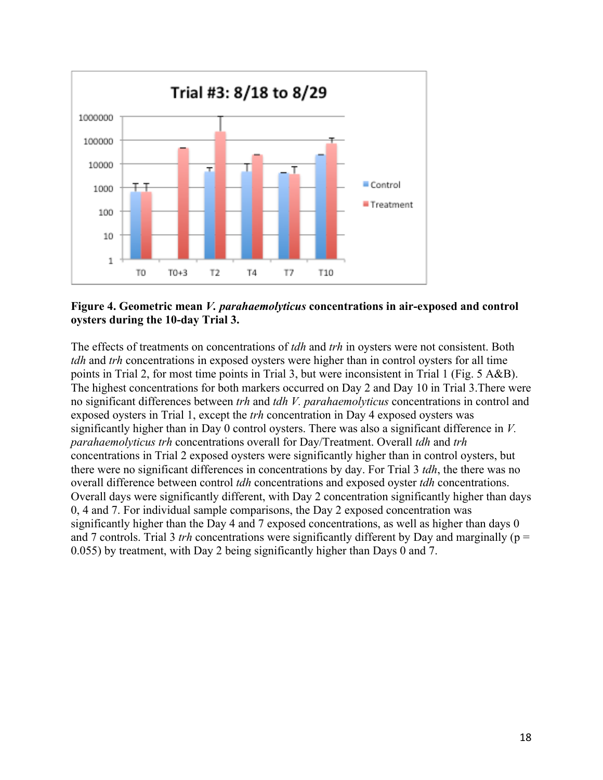

**Figure 4. Geometric mean** *V. parahaemolyticus* **concentrations in air-exposed and control oysters during the 10-day Trial 3.**

The effects of treatments on concentrations of *tdh* and *trh* in oysters were not consistent. Both *tdh* and *trh* concentrations in exposed oysters were higher than in control oysters for all time points in Trial 2, for most time points in Trial 3, but were inconsistent in Trial 1 (Fig. 5 A&B). The highest concentrations for both markers occurred on Day 2 and Day 10 in Trial 3.There were no significant differences between *trh* and *tdh V. parahaemolyticus* concentrations in control and exposed oysters in Trial 1, except the *trh* concentration in Day 4 exposed oysters was significantly higher than in Day 0 control oysters. There was also a significant difference in *V. parahaemolyticus trh* concentrations overall for Day/Treatment. Overall *tdh* and *trh* concentrations in Trial 2 exposed oysters were significantly higher than in control oysters, but there were no significant differences in concentrations by day. For Trial 3 *tdh*, the there was no overall difference between control *tdh* concentrations and exposed oyster *tdh* concentrations. Overall days were significantly different, with Day 2 concentration significantly higher than days 0, 4 and 7. For individual sample comparisons, the Day 2 exposed concentration was significantly higher than the Day 4 and 7 exposed concentrations, as well as higher than days 0 and 7 controls. Trial 3 *trh* concentrations were significantly different by Day and marginally ( $p =$ 0.055) by treatment, with Day 2 being significantly higher than Days 0 and 7.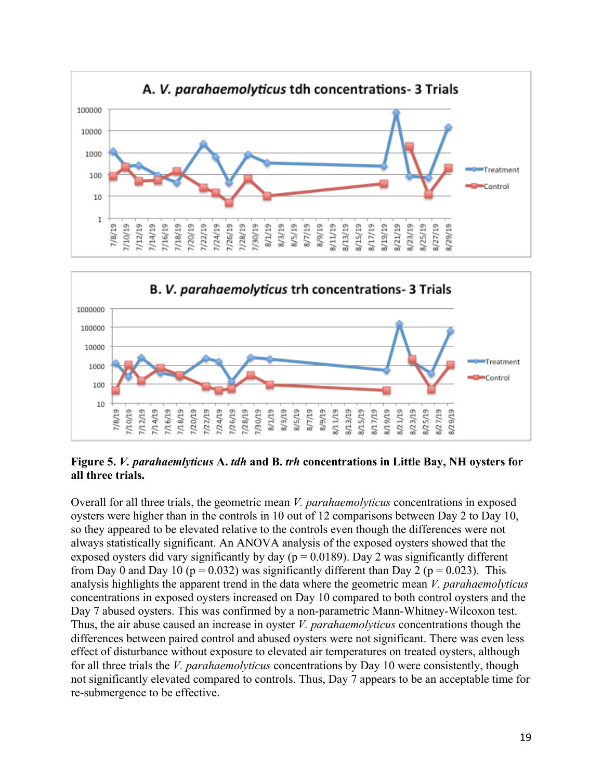



**Figure 5.** *V. parahaemlyticus* **A.** *tdh* **and B.** *trh* **concentrations in Little Bay, NH oysters for all three trials.**

Overall for all three trials, the geometric mean *V. parahaemolyticus* concentrations in exposed oysters were higher than in the controls in 10 out of 12 comparisons between Day 2 to Day 10, so they appeared to be elevated relative to the controls even though the differences were not always statistically significant. An ANOVA analysis of the exposed oysters showed that the exposed oysters did vary significantly by day ( $p = 0.0189$ ). Day 2 was significantly different from Day 0 and Day 10 ( $p = 0.032$ ) was significantly different than Day 2 ( $p = 0.023$ ). This analysis highlights the apparent trend in the data where the geometric mean *V. parahaemolyticus* concentrations in exposed oysters increased on Day 10 compared to both control oysters and the Day 7 abused oysters. This was confirmed by a non-parametric Mann-Whitney-Wilcoxon test. Thus, the air abuse caused an increase in oyster *V. parahaemolyticus* concentrations though the differences between paired control and abused oysters were not significant. There was even less effect of disturbance without exposure to elevated air temperatures on treated oysters, although for all three trials the *V. parahaemolyticus* concentrations by Day 10 were consistently, though not significantly elevated compared to controls. Thus, Day 7 appears to be an acceptable time for re-submergence to be effective.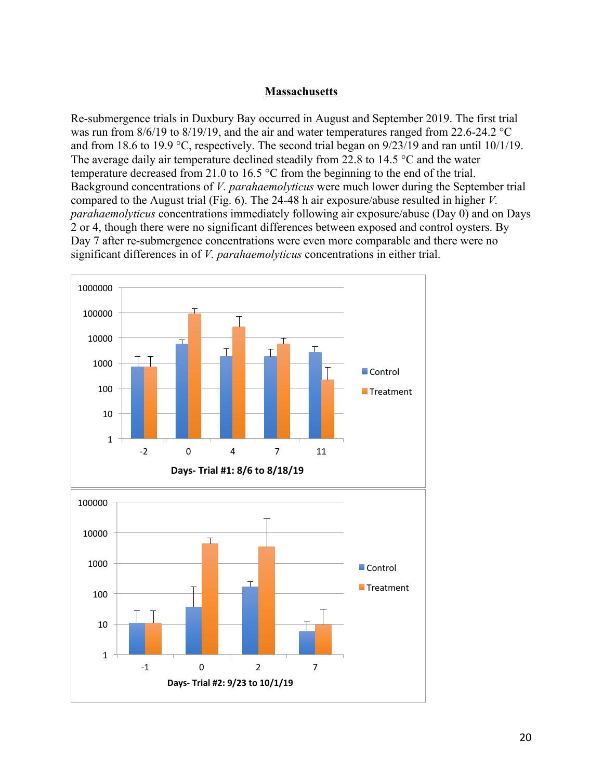### **Massachusetts**

Re-submergence trials in Duxbury Bay occurred in August and September 2019. The first trial was run from  $8/6/19$  to  $8/19/19$ , and the air and water temperatures ranged from 22.6-24.2 °C and from 18.6 to 19.9 °C, respectively. The second trial began on 9/23/19 and ran until 10/1/19. The average daily air temperature declined steadily from 22.8 to 14.5 °C and the water temperature decreased from 21.0 to 16.5 °C from the beginning to the end of the trial. Background concentrations of *V. parahaemolyticus* were much lower during the September trial compared to the August trial (Fig. 6). The 24-48 h air exposure/abuse resulted in higher *V. parahaemolyticus* concentrations immediately following air exposure/abuse (Day 0) and on Days 2 or 4, though there were no significant differences between exposed and control oysters. By Day 7 after re-submergence concentrations were even more comparable and there were no significant differences in of *V. parahaemolyticus* concentrations in either trial.

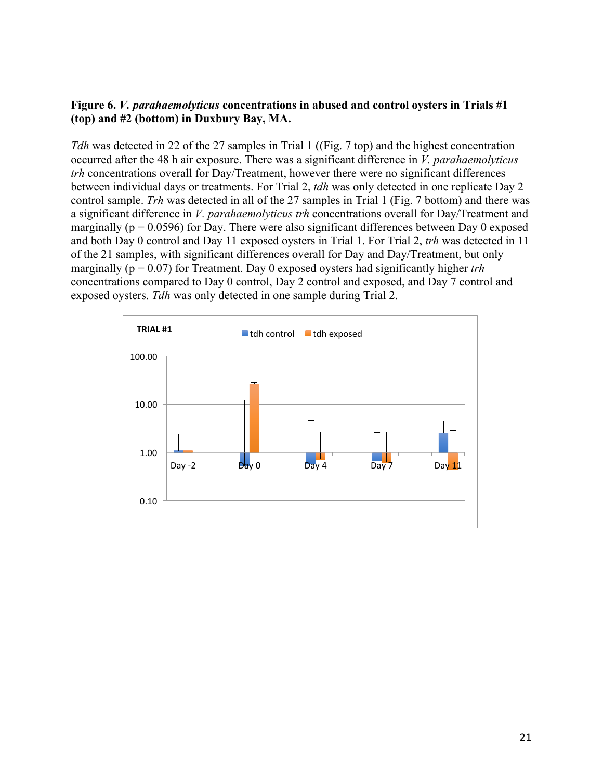### **Figure 6.** *V. parahaemolyticus* **concentrations in abused and control oysters in Trials #1 (top) and #2 (bottom) in Duxbury Bay, MA.**

*Tdh* was detected in 22 of the 27 samples in Trial 1 ((Fig. 7 top) and the highest concentration occurred after the 48 h air exposure. There was a significant difference in *V. parahaemolyticus trh* concentrations overall for Day/Treatment, however there were no significant differences between individual days or treatments. For Trial 2, *tdh* was only detected in one replicate Day 2 control sample. *Trh* was detected in all of the 27 samples in Trial 1 (Fig. 7 bottom) and there was a significant difference in *V. parahaemolyticus trh* concentrations overall for Day/Treatment and marginally ( $p = 0.0596$ ) for Day. There were also significant differences between Day 0 exposed and both Day 0 control and Day 11 exposed oysters in Trial 1. For Trial 2, *trh* was detected in 11 of the 21 samples, with significant differences overall for Day and Day/Treatment, but only marginally (p = 0.07) for Treatment. Day 0 exposed oysters had significantly higher *trh*  concentrations compared to Day 0 control, Day 2 control and exposed, and Day 7 control and exposed oysters. *Tdh* was only detected in one sample during Trial 2.

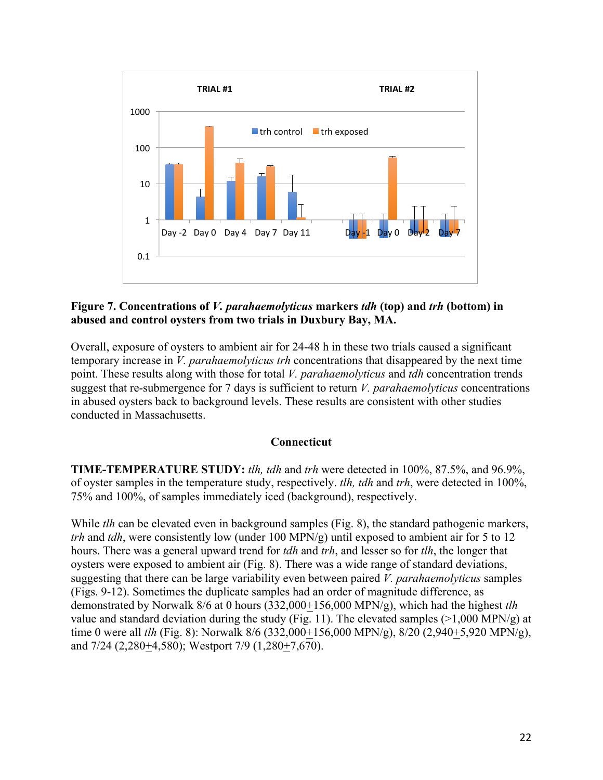

### **Figure 7. Concentrations of** *V. parahaemolyticus* **markers** *tdh* **(top) and** *trh* **(bottom) in abused and control oysters from two trials in Duxbury Bay, MA.**

Overall, exposure of oysters to ambient air for 24-48 h in these two trials caused a significant temporary increase in *V. parahaemolyticus trh* concentrations that disappeared by the next time point. These results along with those for total *V. parahaemolyticus* and *tdh* concentration trends suggest that re-submergence for 7 days is sufficient to return *V. parahaemolyticus* concentrations in abused oysters back to background levels. These results are consistent with other studies conducted in Massachusetts.

## **Connecticut**

**TIME-TEMPERATURE STUDY:** *tlh, tdh* and *trh* were detected in 100%, 87.5%, and 96.9%, of oyster samples in the temperature study, respectively. *tlh, tdh* and *trh*, were detected in 100%, 75% and 100%, of samples immediately iced (background), respectively.

While *tlh* can be elevated even in background samples (Fig. 8), the standard pathogenic markers, *trh* and *tdh*, were consistently low (under 100 MPN/g) until exposed to ambient air for 5 to 12 hours. There was a general upward trend for *tdh* and *trh*, and lesser so for *tlh*, the longer that oysters were exposed to ambient air (Fig. 8). There was a wide range of standard deviations, suggesting that there can be large variability even between paired *V. parahaemolyticus* samples (Figs. 9-12). Sometimes the duplicate samples had an order of magnitude difference, as demonstrated by Norwalk 8/6 at 0 hours (332,000+156,000 MPN/g), which had the highest *tlh* value and standard deviation during the study (Fig. 11). The elevated samples  $(>1,000 \text{ MPN/g})$  at time 0 were all *tlh* (Fig. 8): Norwalk 8/6 (332,000+156,000 MPN/g), 8/20 (2,940+5,920 MPN/g), and 7/24 (2,280+4,580); Westport 7/9 (1,280+7,670).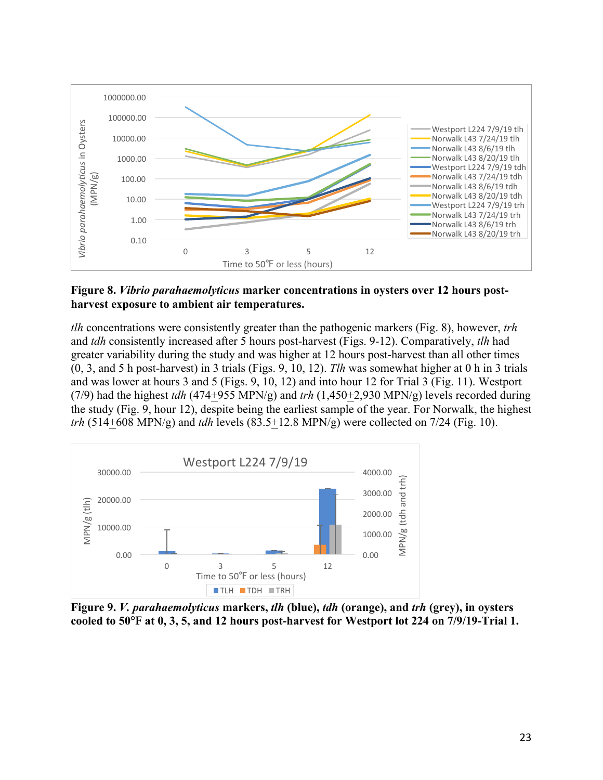

### **Figure 8.** *Vibrio parahaemolyticus* **marker concentrations in oysters over 12 hours postharvest exposure to ambient air temperatures.**

*tlh* concentrations were consistently greater than the pathogenic markers (Fig. 8), however, *trh* and *tdh* consistently increased after 5 hours post-harvest (Figs. 9-12). Comparatively, *tlh* had greater variability during the study and was higher at 12 hours post-harvest than all other times (0, 3, and 5 h post-harvest) in 3 trials (Figs. 9, 10, 12). *Tlh* was somewhat higher at 0 h in 3 trials and was lower at hours 3 and 5 (Figs. 9, 10, 12) and into hour 12 for Trial 3 (Fig. 11). Westport (7/9) had the highest *tdh* (474+955 MPN/g) and *trh* (1,450+2,930 MPN/g) levels recorded during the study (Fig. 9, hour 12), despite being the earliest sample of the year. For Norwalk, the highest *trh* (514+608 MPN/g) and *tdh* levels (83.5+12.8 MPN/g) were collected on 7/24 (Fig. 10).



**Figure 9.** *V. parahaemolyticus* **markers,** *tlh* **(blue),** *tdh* **(orange), and** *trh* **(grey), in oysters cooled to 50℉ at 0, 3, 5, and 12 hours post-harvest for Westport lot 224 on 7/9/19-Trial 1.**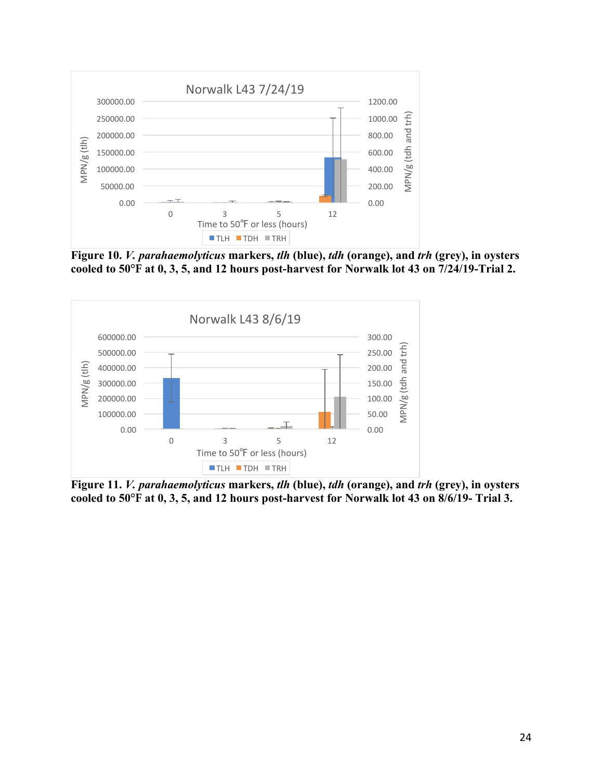

**Figure 10.** *V. parahaemolyticus* **markers,** *tlh* **(blue),** *tdh* **(orange), and** *trh* **(grey), in oysters cooled to 50℉ at 0, 3, 5, and 12 hours post-harvest for Norwalk lot 43 on 7/24/19-Trial 2.**



**Figure 11.** *V. parahaemolyticus* **markers,** *tlh* **(blue),** *tdh* **(orange), and** *trh* **(grey), in oysters cooled to 50℉ at 0, 3, 5, and 12 hours post-harvest for Norwalk lot 43 on 8/6/19- Trial 3.**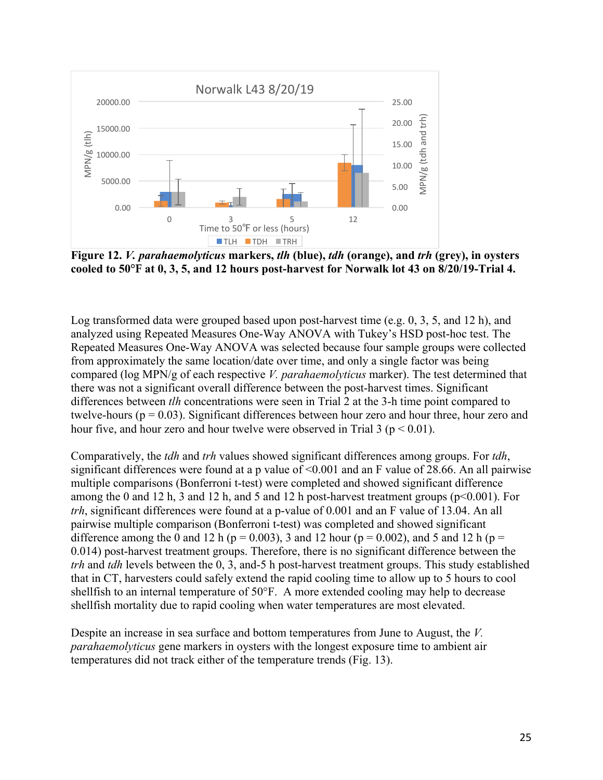

**Figure 12.** *V. parahaemolyticus* **markers,** *tlh* **(blue),** *tdh* **(orange), and** *trh* **(grey), in oysters cooled to 50℉ at 0, 3, 5, and 12 hours post-harvest for Norwalk lot 43 on 8/20/19-Trial 4.**

Log transformed data were grouped based upon post-harvest time (e.g. 0, 3, 5, and 12 h), and analyzed using Repeated Measures One-Way ANOVA with Tukey's HSD post-hoc test. The Repeated Measures One-Way ANOVA was selected because four sample groups were collected from approximately the same location/date over time, and only a single factor was being compared (log MPN/g of each respective *V. parahaemolyticus* marker). The test determined that there was not a significant overall difference between the post-harvest times. Significant differences between *tlh* concentrations were seen in Trial 2 at the 3-h time point compared to twelve-hours ( $p = 0.03$ ). Significant differences between hour zero and hour three, hour zero and hour five, and hour zero and hour twelve were observed in Trial  $3$  ( $p \le 0.01$ ).

Comparatively, the *tdh* and *trh* values showed significant differences among groups. For *tdh*, significant differences were found at a p value of <0.001 and an F value of 28.66. An all pairwise multiple comparisons (Bonferroni t-test) were completed and showed significant difference among the 0 and 12 h, 3 and 12 h, and 5 and 12 h post-harvest treatment groups ( $p<0.001$ ). For *trh*, significant differences were found at a p-value of 0.001 and an F value of 13.04. An all pairwise multiple comparison (Bonferroni t-test) was completed and showed significant difference among the 0 and 12 h ( $p = 0.003$ ), 3 and 12 hour ( $p = 0.002$ ), and 5 and 12 h ( $p =$ 0.014) post-harvest treatment groups. Therefore, there is no significant difference between the *trh* and *tdh* levels between the 0, 3, and-5 h post-harvest treatment groups. This study established that in CT, harvesters could safely extend the rapid cooling time to allow up to 5 hours to cool shellfish to an internal temperature of 50°F. A more extended cooling may help to decrease shellfish mortality due to rapid cooling when water temperatures are most elevated.

Despite an increase in sea surface and bottom temperatures from June to August, the *V. parahaemolyticus* gene markers in oysters with the longest exposure time to ambient air temperatures did not track either of the temperature trends (Fig. 13).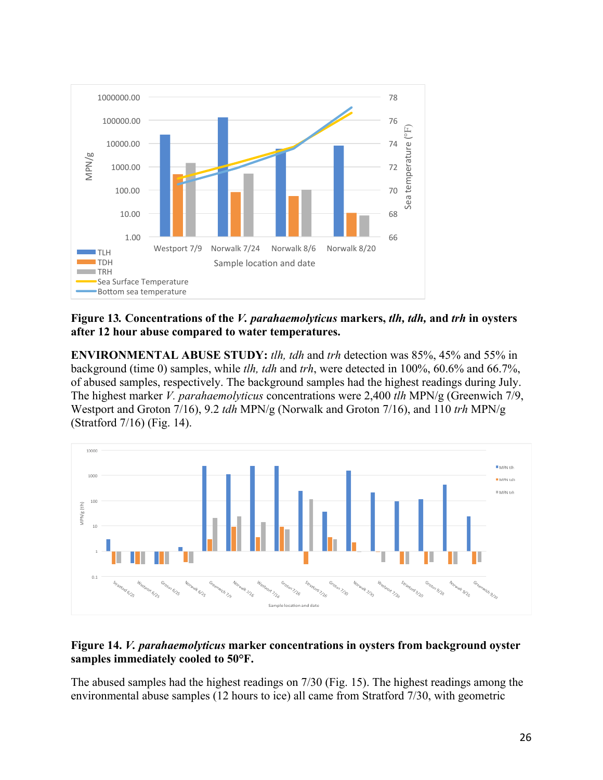

**Figure 13***.* **Concentrations of the** *V. parahaemolyticus* **markers,** *tlh, tdh,* **and** *trh* **in oysters after 12 hour abuse compared to water temperatures.**

**ENVIRONMENTAL ABUSE STUDY:** *tlh, tdh* and *trh* detection was 85%, 45% and 55% in background (time 0) samples, while *tlh, tdh* and *trh*, were detected in 100%, 60.6% and 66.7%, of abused samples, respectively. The background samples had the highest readings during July. The highest marker *V. parahaemolyticus* concentrations were 2,400 *tlh* MPN/g (Greenwich 7/9, Westport and Groton 7/16), 9.2 *tdh* MPN/g (Norwalk and Groton 7/16), and 110 *trh* MPN/g (Stratford 7/16) (Fig. 14).



## **Figure 14.** *V. parahaemolyticus* **marker concentrations in oysters from background oyster samples immediately cooled to 50°F.**

The abused samples had the highest readings on 7/30 (Fig. 15). The highest readings among the environmental abuse samples (12 hours to ice) all came from Stratford 7/30, with geometric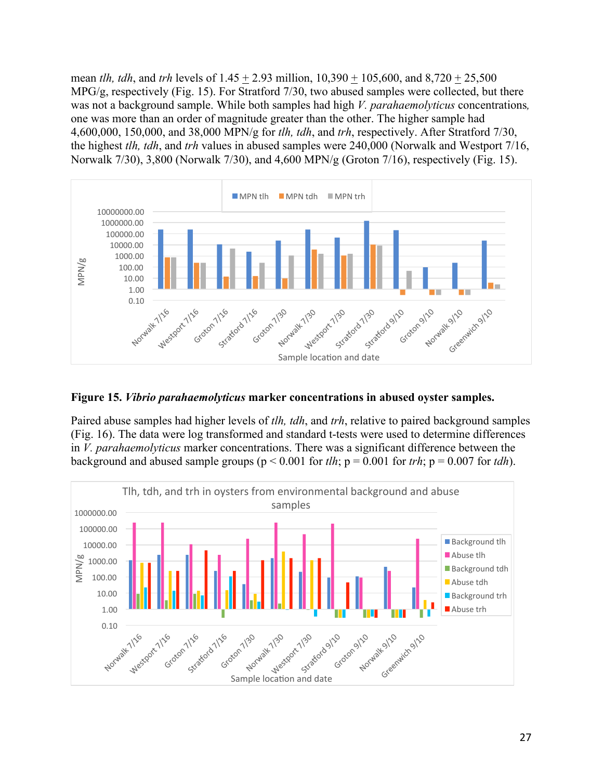mean *tlh, tdh*, and *trh* levels of 1.45 + 2.93 million, 10,390 + 105,600, and 8,720 + 25,500 MPG/g, respectively (Fig. 15). For Stratford 7/30, two abused samples were collected, but there was not a background sample. While both samples had high *V. parahaemolyticus* concentrations*,* one was more than an order of magnitude greater than the other. The higher sample had 4,600,000, 150,000, and 38,000 MPN/g for *tlh, tdh*, and *trh*, respectively. After Stratford 7/30, the highest *tlh, tdh*, and *trh* values in abused samples were 240,000 (Norwalk and Westport 7/16, Norwalk 7/30), 3,800 (Norwalk 7/30), and 4,600 MPN/g (Groton 7/16), respectively (Fig. 15).



**Figure 15.** *Vibrio parahaemolyticus* **marker concentrations in abused oyster samples.**

Paired abuse samples had higher levels of *tlh, tdh*, and *trh*, relative to paired background samples (Fig. 16). The data were log transformed and standard t-tests were used to determine differences in *V. parahaemolyticus* marker concentrations. There was a significant difference between the background and abused sample groups ( $p < 0.001$  for *tlh*;  $p = 0.001$  for *trh*;  $p = 0.007$  for *tdh*).

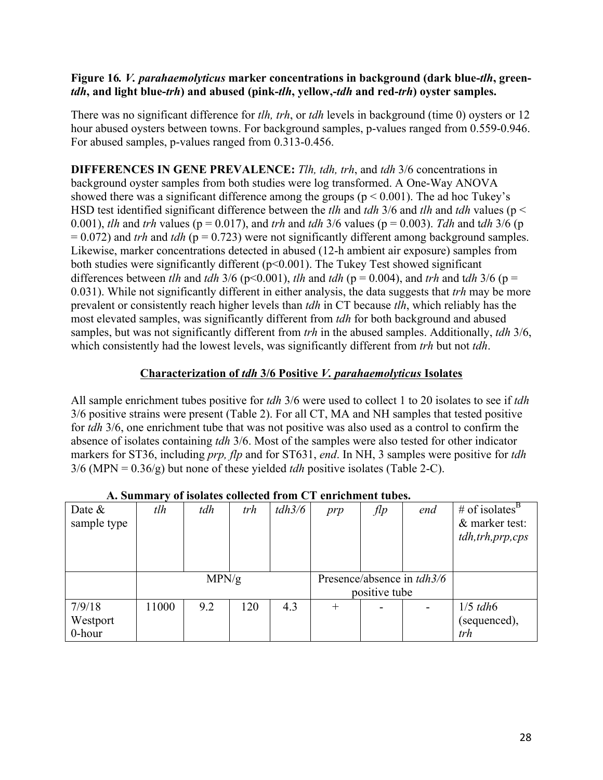### **Figure 16***. V. parahaemolyticus* **marker concentrations in background (dark blue-***tlh***, green***tdh***, and light blue-***trh***) and abused (pink-***tlh***, yellow,-***tdh* **and red-***trh***) oyster samples.**

There was no significant difference for *tlh, trh*, or *tdh* levels in background (time 0) oysters or 12 hour abused oysters between towns. For background samples, p-values ranged from 0.559-0.946. For abused samples, p-values ranged from 0.313-0.456.

**DIFFERENCES IN GENE PREVALENCE:** *Tlh, tdh, trh*, and *tdh* 3/6 concentrations in background oyster samples from both studies were log transformed. A One-Way ANOVA showed there was a significant difference among the groups ( $p \le 0.001$ ). The ad hoc Tukey's HSD test identified significant difference between the *tlh* and *tdh* 3/6 and *tlh* and *tdh* values (p < 0.001), *tlh* and *trh* values ( $p = 0.017$ ), and *trh* and *tdh* 3/6 values ( $p = 0.003$ ). *Tdh* and *tdh* 3/6 ( $p = 0.001$ )  $= 0.072$ ) and *trh* and *tdh* ( $p = 0.723$ ) were not significantly different among background samples. Likewise, marker concentrations detected in abused (12-h ambient air exposure) samples from both studies were significantly different (p<0.001). The Tukey Test showed significant differences between *tlh* and *tdh* 3/6 (p<0.001), *tlh* and *tdh* (p = 0.004), and *trh* and *tdh* 3/6 (p = 0.031). While not significantly different in either analysis, the data suggests that *trh* may be more prevalent or consistently reach higher levels than *tdh* in CT because *tlh*, which reliably has the most elevated samples, was significantly different from *tdh* for both background and abused samples, but was not significantly different from *trh* in the abused samples. Additionally, *tdh* 3/6, which consistently had the lowest levels, was significantly different from *trh* but not *tdh*.

## **Characterization of** *tdh* **3/6 Positive** *V. parahaemolyticus* **Isolates**

All sample enrichment tubes positive for *tdh* 3/6 were used to collect 1 to 20 isolates to see if *tdh* 3/6 positive strains were present (Table 2). For all CT, MA and NH samples that tested positive for *tdh* 3/6, one enrichment tube that was not positive was also used as a control to confirm the absence of isolates containing *tdh* 3/6. Most of the samples were also tested for other indicator markers for ST36, including *prp, flp* and for ST631, *end*. In NH, 3 samples were positive for *tdh* 3/6 (MPN = 0.36/g) but none of these yielded *tdh* positive isolates (Table 2-C).

| Date $\&$   | tlh   | tdh   | trh | tdh3/6 | prp    | flp           | end                               | # of isolates <sup>B</sup> |
|-------------|-------|-------|-----|--------|--------|---------------|-----------------------------------|----------------------------|
| sample type |       |       |     |        |        |               |                                   | & marker test:             |
|             |       |       |     |        |        |               |                                   | tdh, trh, prp, cps         |
|             |       |       |     |        |        |               |                                   |                            |
|             |       |       |     |        |        |               |                                   |                            |
|             |       | MPN/g |     |        |        |               | Presence/absence in <i>tdh3/6</i> |                            |
|             |       |       |     |        |        | positive tube |                                   |                            |
| 7/9/18      | 11000 | 9.2   | 120 | 4.3    | $^{+}$ |               |                                   | $1/5$ tdh $6$              |
| Westport    |       |       |     |        |        |               |                                   | (sequenced),               |
| 0-hour      |       |       |     |        |        |               |                                   | trh                        |

# **A. Summary of isolates collected from CT enrichment tubes.**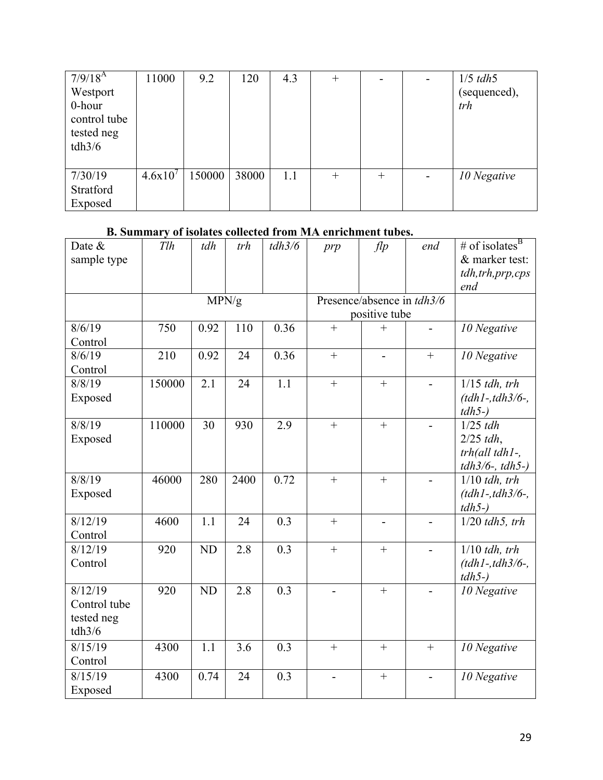| $7/9/18^{A}$<br>Westport<br>0-hour<br>control tube<br>tested neg<br>tdh3/6 | 11000   | 9.2    | 120   | 4.3 | $^{+}$ |        | $1/5$ tdh5<br>(sequenced),<br>trh |
|----------------------------------------------------------------------------|---------|--------|-------|-----|--------|--------|-----------------------------------|
|                                                                            |         |        |       |     |        |        |                                   |
| 7/30/19                                                                    | 4.6x10' | 150000 | 38000 | 1.1 | $^{+}$ | $^{+}$ | 10 Negative                       |
| Stratford                                                                  |         |        |       |     |        |        |                                   |
| Exposed                                                                    |         |        |       |     |        |        |                                   |

# **B. Summary of isolates collected from MA enrichment tubes.**

| Date &<br>sample type | Tlh    | tdh       | trh  | tdh3/6 | prp                      | f                          | end               | # of isolates <sup>B</sup><br>& marker test:<br>tdh, trh, prp, cps |
|-----------------------|--------|-----------|------|--------|--------------------------|----------------------------|-------------------|--------------------------------------------------------------------|
|                       |        |           |      |        |                          |                            |                   | end                                                                |
|                       |        | MPN/g     |      |        |                          | Presence/absence in tdh3/6 |                   |                                                                    |
|                       |        |           |      |        |                          | positive tube              |                   |                                                                    |
| 8/6/19                | 750    | 0.92      | 110  | 0.36   | $\ddot{}$                | $^{+}$                     |                   | 10 Negative                                                        |
| Control               |        |           |      |        |                          |                            |                   |                                                                    |
| 8/6/19                | 210    | 0.92      | 24   | 0.36   | $\qquad \qquad +$        | $\overline{\phantom{a}}$   | $\qquad \qquad +$ | 10 Negative                                                        |
| Control               |        |           |      |        |                          |                            |                   |                                                                    |
| 8/8/19                | 150000 | 2.1       | 24   | 1.1    | $\ddot{}$                | $+$                        |                   | $1/15$ tdh, trh                                                    |
| Exposed               |        |           |      |        |                          |                            |                   | $(tdh1 - tdh3/6 -$ ,                                               |
| 8/8/19                | 110000 | 30        | 930  | 2.9    | $\ddot{}$                | $+$                        |                   | $tdh5-)$<br>$1/25$ tdh                                             |
| Exposed               |        |           |      |        |                          |                            |                   | $2/25$ tdh,                                                        |
|                       |        |           |      |        |                          |                            |                   | $trh$ (all tdh $l$ -,                                              |
|                       |        |           |      |        |                          |                            |                   | $tdh3/6$ -, $tdh5$ -)                                              |
| 8/8/19                | 46000  | 280       | 2400 | 0.72   | $+$                      | $+$                        |                   | $1/10$ tdh, trh                                                    |
| Exposed               |        |           |      |        |                          |                            |                   | $(tdh1 - tdh3/6 -$ ,                                               |
|                       |        |           |      |        |                          |                            |                   | $tdh5-)$                                                           |
| 8/12/19               | 4600   | 1.1       | 24   | 0.3    | $+$                      | $\overline{a}$             |                   | $1/20$ tdh5, trh                                                   |
| Control               |        |           |      |        |                          |                            |                   |                                                                    |
| 8/12/19               | 920    | ND        | 2.8  | 0.3    | $\ddot{}$                | $+$                        |                   | $1/10$ tdh, trh                                                    |
| Control               |        |           |      |        |                          |                            |                   | $(tdh1 - tdh3/6 -$ ,                                               |
|                       |        |           |      |        |                          |                            |                   | $tdh5-)$                                                           |
| 8/12/19               | 920    | <b>ND</b> | 2.8  | 0.3    | $\overline{\phantom{0}}$ | $\boldsymbol{+}$           |                   | 10 Negative                                                        |
| Control tube          |        |           |      |        |                          |                            |                   |                                                                    |
| tested neg            |        |           |      |        |                          |                            |                   |                                                                    |
| tdh3/6                |        |           |      |        |                          |                            |                   |                                                                    |
| 8/15/19               | 4300   | 1.1       | 3.6  | 0.3    | $+$                      | $+$                        | $+$               | 10 Negative                                                        |
| Control               |        |           |      |        |                          |                            |                   |                                                                    |
| 8/15/19               | 4300   | 0.74      | 24   | 0.3    |                          | $^{+}$                     |                   | 10 Negative                                                        |
| Exposed               |        |           |      |        |                          |                            |                   |                                                                    |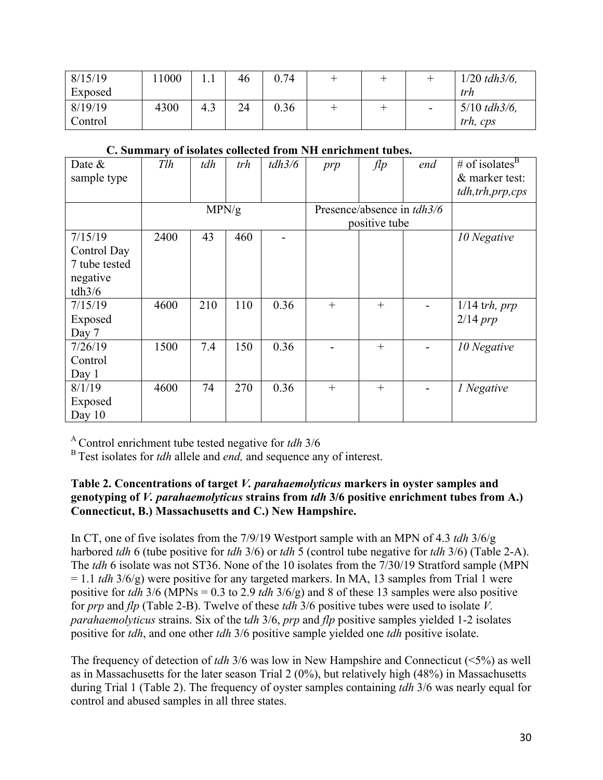| 8/15/19<br>Exposed | 1000 |     | 46 | 0.74 |  |                          | $1/20$ tdh $3/6$ ,<br>trh           |
|--------------------|------|-----|----|------|--|--------------------------|-------------------------------------|
| 8/19/19<br>Control | 4300 | 4.3 | 24 | 0.36 |  | $\overline{\phantom{a}}$ | $5/10$ tdh $3/6$ ,<br>$trh$ , $cps$ |

| Date $\&$     | Tlh  | tdh   | trh | tdh3/6 | prp                        | $f$ lp        | end | # of isolates $B$  |
|---------------|------|-------|-----|--------|----------------------------|---------------|-----|--------------------|
| sample type   |      |       |     |        |                            |               |     | & marker test:     |
|               |      |       |     |        |                            |               |     | tdh, trh, prp, cps |
|               |      | MPN/g |     |        | Presence/absence in tdh3/6 |               |     |                    |
|               |      |       |     |        |                            | positive tube |     |                    |
| 7/15/19       | 2400 | 43    | 460 |        |                            |               |     | 10 Negative        |
| Control Day   |      |       |     |        |                            |               |     |                    |
| 7 tube tested |      |       |     |        |                            |               |     |                    |
| negative      |      |       |     |        |                            |               |     |                    |
| tdh3/6        |      |       |     |        |                            |               |     |                    |
| 7/15/19       | 4600 | 210   | 110 | 0.36   | $^{+}$                     | $^{+}$        |     | $1/14$ trh, prp    |
| Exposed       |      |       |     |        |                            |               |     | $2/14$ prp         |
| Day 7         |      |       |     |        |                            |               |     |                    |
| 7/26/19       | 1500 | 7.4   | 150 | 0.36   |                            | $^{+}$        |     | 10 Negative        |
| Control       |      |       |     |        |                            |               |     |                    |
| Day $1$       |      |       |     |        |                            |               |     |                    |
| 8/1/19        | 4600 | 74    | 270 | 0.36   | $+$                        | $+$           |     | 1 Negative         |
| Exposed       |      |       |     |        |                            |               |     |                    |
| Day 10        |      |       |     |        |                            |               |     |                    |

#### **C. Summary of isolates collected from NH enrichment tubes.**

A Control enrichment tube tested negative for *tdh* 3/6

<sup>B</sup> Test isolates for *tdh* allele and *end*, and sequence any of interest.

## **Table 2. Concentrations of target** *V. parahaemolyticus* **markers in oyster samples and genotyping of** *V. parahaemolyticus* **strains from** *tdh* **3/6 positive enrichment tubes from A.) Connecticut, B.) Massachusetts and C.) New Hampshire.**

In CT, one of five isolates from the 7/9/19 Westport sample with an MPN of 4.3 *tdh* 3/6/g harbored *tdh* 6 (tube positive for *tdh* 3/6) or *tdh* 5 (control tube negative for *tdh* 3/6) (Table 2-A). The *tdh* 6 isolate was not ST36. None of the 10 isolates from the 7/30/19 Stratford sample (MPN = 1.1 *tdh* 3/6/g) were positive for any targeted markers. In MA, 13 samples from Trial 1 were positive for *tdh* 3/6 (MPNs = 0.3 to 2.9 *tdh* 3/6/g) and 8 of these 13 samples were also positive for *prp* and *flp* (Table 2-B). Twelve of these *tdh* 3/6 positive tubes were used to isolate *V. parahaemolyticus* strains. Six of the t*dh* 3/6, *prp* and *flp* positive samples yielded 1-2 isolates positive for *tdh*, and one other *tdh* 3/6 positive sample yielded one *tdh* positive isolate.

The frequency of detection of *tdh* 3/6 was low in New Hampshire and Connecticut (<5%) as well as in Massachusetts for the later season Trial 2 (0%), but relatively high (48%) in Massachusetts during Trial 1 (Table 2). The frequency of oyster samples containing *tdh* 3/6 was nearly equal for control and abused samples in all three states.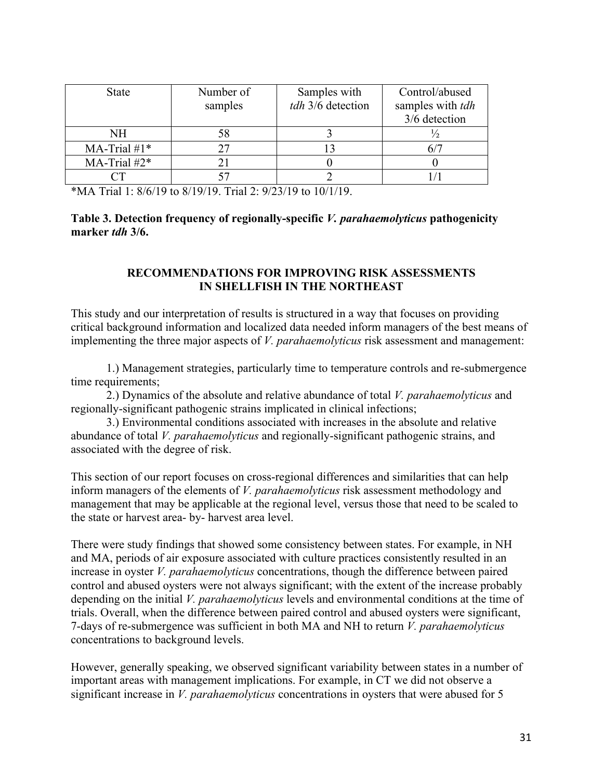| <b>State</b>    | Number of<br>samples | Samples with<br>tdh 3/6 detection | Control/abused<br>samples with <i>tdh</i><br>3/6 detection |
|-----------------|----------------------|-----------------------------------|------------------------------------------------------------|
| NH              | 58                   |                                   |                                                            |
| MA-Trial $#1*$  | די                   |                                   |                                                            |
| MA-Trial $#2^*$ |                      |                                   |                                                            |
|                 |                      |                                   |                                                            |

\*MA Trial 1:  $8/6/19$  to  $8/19/19$ . Trial 2:  $9/23/19$  to  $10/1/19$ .

#### **Table 3. Detection frequency of regionally-specific** *V. parahaemolyticus* **pathogenicity marker** *tdh* **3/6.**

### **RECOMMENDATIONS FOR IMPROVING RISK ASSESSMENTS IN SHELLFISH IN THE NORTHEAST**

This study and our interpretation of results is structured in a way that focuses on providing critical background information and localized data needed inform managers of the best means of implementing the three major aspects of *V. parahaemolyticus* risk assessment and management:

1.) Management strategies, particularly time to temperature controls and re-submergence time requirements:

2.) Dynamics of the absolute and relative abundance of total *V. parahaemolyticus* and regionally-significant pathogenic strains implicated in clinical infections;

3.) Environmental conditions associated with increases in the absolute and relative abundance of total *V. parahaemolyticus* and regionally-significant pathogenic strains, and associated with the degree of risk.

This section of our report focuses on cross-regional differences and similarities that can help inform managers of the elements of *V. parahaemolyticus* risk assessment methodology and management that may be applicable at the regional level, versus those that need to be scaled to the state or harvest area- by- harvest area level.

There were study findings that showed some consistency between states. For example, in NH and MA, periods of air exposure associated with culture practices consistently resulted in an increase in oyster *V. parahaemolyticus* concentrations, though the difference between paired control and abused oysters were not always significant; with the extent of the increase probably depending on the initial *V. parahaemolyticus* levels and environmental conditions at the time of trials. Overall, when the difference between paired control and abused oysters were significant, 7-days of re-submergence was sufficient in both MA and NH to return *V. parahaemolyticus* concentrations to background levels.

However, generally speaking, we observed significant variability between states in a number of important areas with management implications. For example, in CT we did not observe a significant increase in *V. parahaemolyticus* concentrations in oysters that were abused for 5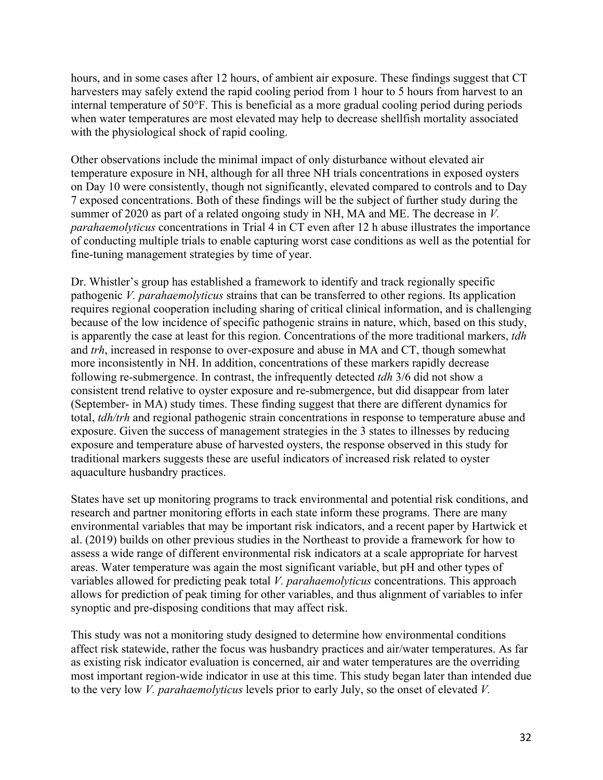hours, and in some cases after 12 hours, of ambient air exposure. These findings suggest that CT harvesters may safely extend the rapid cooling period from 1 hour to 5 hours from harvest to an internal temperature of 50°F. This is beneficial as a more gradual cooling period during periods when water temperatures are most elevated may help to decrease shellfish mortality associated with the physiological shock of rapid cooling.

Other observations include the minimal impact of only disturbance without elevated air temperature exposure in NH, although for all three NH trials concentrations in exposed oysters on Day 10 were consistently, though not significantly, elevated compared to controls and to Day 7 exposed concentrations. Both of these findings will be the subject of further study during the summer of 2020 as part of a related ongoing study in NH, MA and ME. The decrease in *V. parahaemolyticus* concentrations in Trial 4 in CT even after 12 h abuse illustrates the importance of conducting multiple trials to enable capturing worst case conditions as well as the potential for fine-tuning management strategies by time of year.

Dr. Whistler's group has established a framework to identify and track regionally specific pathogenic *V. parahaemolyticus* strains that can be transferred to other regions. Its application requires regional cooperation including sharing of critical clinical information, and is challenging because of the low incidence of specific pathogenic strains in nature, which, based on this study, is apparently the case at least for this region. Concentrations of the more traditional markers, *tdh* and *trh*, increased in response to over-exposure and abuse in MA and CT, though somewhat more inconsistently in NH. In addition, concentrations of these markers rapidly decrease following re-submergence. In contrast, the infrequently detected *tdh* 3/6 did not show a consistent trend relative to oyster exposure and re-submergence, but did disappear from later (September- in MA) study times. These finding suggest that there are different dynamics for total, *tdh/trh* and regional pathogenic strain concentrations in response to temperature abuse and exposure. Given the success of management strategies in the 3 states to illnesses by reducing exposure and temperature abuse of harvested oysters, the response observed in this study for traditional markers suggests these are useful indicators of increased risk related to oyster aquaculture husbandry practices.

States have set up monitoring programs to track environmental and potential risk conditions, and research and partner monitoring efforts in each state inform these programs. There are many environmental variables that may be important risk indicators, and a recent paper by Hartwick et al. (2019) builds on other previous studies in the Northeast to provide a framework for how to assess a wide range of different environmental risk indicators at a scale appropriate for harvest areas. Water temperature was again the most significant variable, but pH and other types of variables allowed for predicting peak total *V. parahaemolyticus* concentrations. This approach allows for prediction of peak timing for other variables, and thus alignment of variables to infer synoptic and pre-disposing conditions that may affect risk.

This study was not a monitoring study designed to determine how environmental conditions affect risk statewide, rather the focus was husbandry practices and air/water temperatures. As far as existing risk indicator evaluation is concerned, air and water temperatures are the overriding most important region-wide indicator in use at this time. This study began later than intended due to the very low *V. parahaemolyticus* levels prior to early July, so the onset of elevated *V.*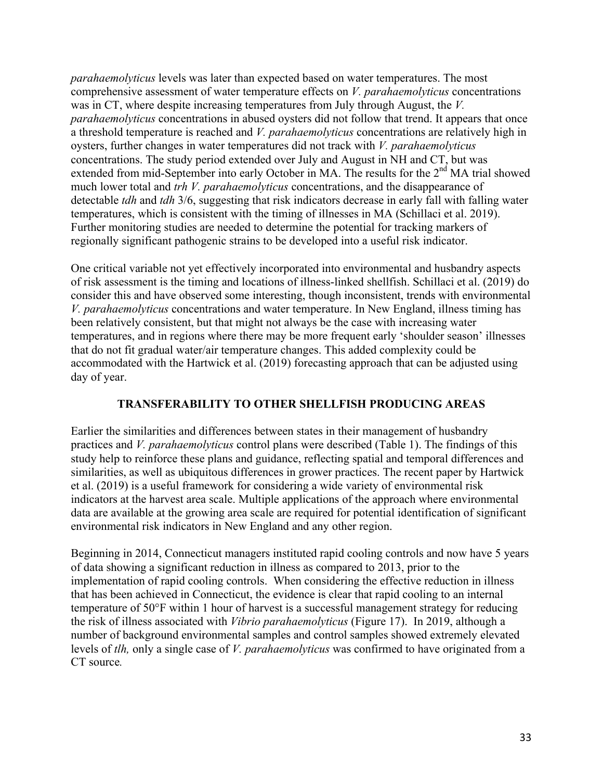*parahaemolyticus* levels was later than expected based on water temperatures. The most comprehensive assessment of water temperature effects on *V. parahaemolyticus* concentrations was in CT, where despite increasing temperatures from July through August, the *V. parahaemolyticus* concentrations in abused oysters did not follow that trend. It appears that once a threshold temperature is reached and *V. parahaemolyticus* concentrations are relatively high in oysters, further changes in water temperatures did not track with *V. parahaemolyticus* concentrations. The study period extended over July and August in NH and CT, but was extended from mid-September into early October in MA. The results for the 2<sup>nd</sup> MA trial showed much lower total and *trh V. parahaemolyticus* concentrations, and the disappearance of detectable *tdh* and *tdh* 3/6, suggesting that risk indicators decrease in early fall with falling water temperatures, which is consistent with the timing of illnesses in MA (Schillaci et al. 2019). Further monitoring studies are needed to determine the potential for tracking markers of regionally significant pathogenic strains to be developed into a useful risk indicator.

One critical variable not yet effectively incorporated into environmental and husbandry aspects of risk assessment is the timing and locations of illness-linked shellfish. Schillaci et al. (2019) do consider this and have observed some interesting, though inconsistent, trends with environmental *V. parahaemolyticus* concentrations and water temperature. In New England, illness timing has been relatively consistent, but that might not always be the case with increasing water temperatures, and in regions where there may be more frequent early 'shoulder season' illnesses that do not fit gradual water/air temperature changes. This added complexity could be accommodated with the Hartwick et al. (2019) forecasting approach that can be adjusted using day of year.

## **TRANSFERABILITY TO OTHER SHELLFISH PRODUCING AREAS**

Earlier the similarities and differences between states in their management of husbandry practices and *V. parahaemolyticus* control plans were described (Table 1). The findings of this study help to reinforce these plans and guidance, reflecting spatial and temporal differences and similarities, as well as ubiquitous differences in grower practices. The recent paper by Hartwick et al. (2019) is a useful framework for considering a wide variety of environmental risk indicators at the harvest area scale. Multiple applications of the approach where environmental data are available at the growing area scale are required for potential identification of significant environmental risk indicators in New England and any other region.

Beginning in 2014, Connecticut managers instituted rapid cooling controls and now have 5 years of data showing a significant reduction in illness as compared to 2013, prior to the implementation of rapid cooling controls. When considering the effective reduction in illness that has been achieved in Connecticut, the evidence is clear that rapid cooling to an internal temperature of 50°F within 1 hour of harvest is a successful management strategy for reducing the risk of illness associated with *Vibrio parahaemolyticus* (Figure 17). In 2019, although a number of background environmental samples and control samples showed extremely elevated levels of *tlh,* only a single case of *V. parahaemolyticus* was confirmed to have originated from a CT source*.*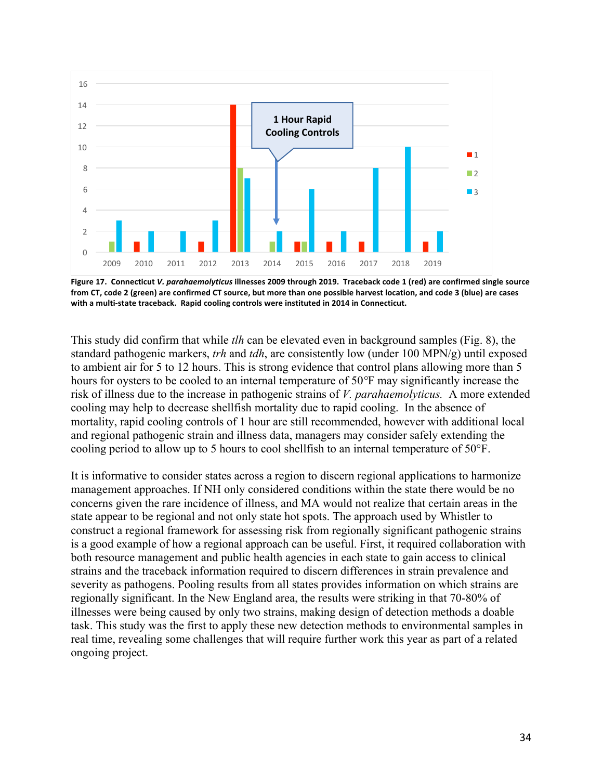

Figure 17. Connecticut *V. parahaemolyticus* illnesses 2009 through 2019. Traceback code 1 (red) are confirmed single source from CT, code 2 (green) are confirmed CT source, but more than one possible harvest location, and code 3 (blue) are cases with a multi-state traceback. Rapid cooling controls were instituted in 2014 in Connecticut.

This study did confirm that while *tlh* can be elevated even in background samples (Fig. 8), the standard pathogenic markers, *trh* and *tdh*, are consistently low (under 100 MPN/g) until exposed to ambient air for 5 to 12 hours. This is strong evidence that control plans allowing more than 5 hours for oysters to be cooled to an internal temperature of 50*°*F may significantly increase the risk of illness due to the increase in pathogenic strains of *V. parahaemolyticus.* A more extended cooling may help to decrease shellfish mortality due to rapid cooling. In the absence of mortality, rapid cooling controls of 1 hour are still recommended, however with additional local and regional pathogenic strain and illness data, managers may consider safely extending the cooling period to allow up to 5 hours to cool shellfish to an internal temperature of 50°F.

It is informative to consider states across a region to discern regional applications to harmonize management approaches. If NH only considered conditions within the state there would be no concerns given the rare incidence of illness, and MA would not realize that certain areas in the state appear to be regional and not only state hot spots. The approach used by Whistler to construct a regional framework for assessing risk from regionally significant pathogenic strains is a good example of how a regional approach can be useful. First, it required collaboration with both resource management and public health agencies in each state to gain access to clinical strains and the traceback information required to discern differences in strain prevalence and severity as pathogens. Pooling results from all states provides information on which strains are regionally significant. In the New England area, the results were striking in that 70-80% of illnesses were being caused by only two strains, making design of detection methods a doable task. This study was the first to apply these new detection methods to environmental samples in real time, revealing some challenges that will require further work this year as part of a related ongoing project.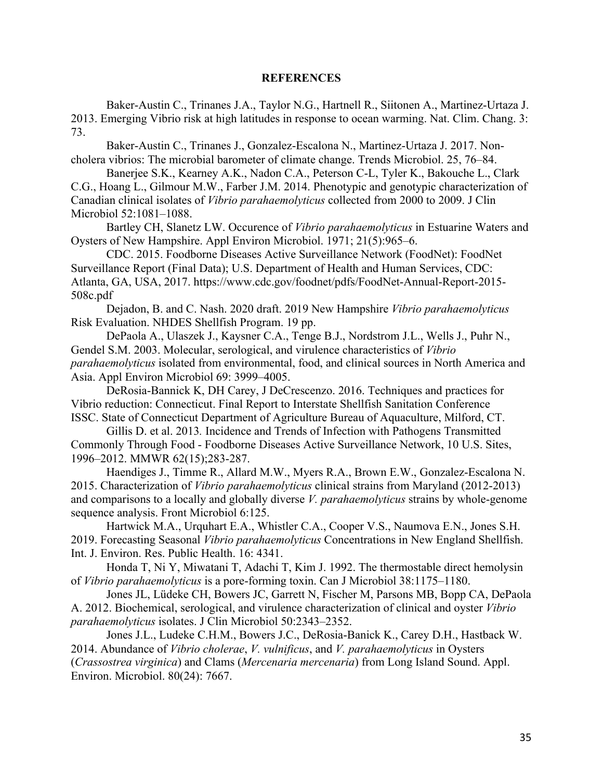#### **REFERENCES**

Baker-Austin C., Trinanes J.A., Taylor N.G., Hartnell R., Siitonen A., Martinez-Urtaza J. 2013. Emerging Vibrio risk at high latitudes in response to ocean warming. Nat. Clim. Chang. 3: 73.

Baker-Austin C., Trinanes J., Gonzalez-Escalona N., Martinez-Urtaza J. 2017. Noncholera vibrios: The microbial barometer of climate change. Trends Microbiol. 25, 76–84.

Banerjee S.K., Kearney A.K., Nadon C.A., Peterson C-L, Tyler K., Bakouche L., Clark C.G., Hoang L., Gilmour M.W., Farber J.M. 2014. Phenotypic and genotypic characterization of Canadian clinical isolates of *Vibrio parahaemolyticus* collected from 2000 to 2009. J Clin Microbiol 52:1081–1088.

Bartley CH, Slanetz LW. Occurence of *Vibrio parahaemolyticus* in Estuarine Waters and Oysters of New Hampshire. Appl Environ Microbiol. 1971; 21(5):965–6.

CDC. 2015. Foodborne Diseases Active Surveillance Network (FoodNet): FoodNet Surveillance Report (Final Data); U.S. Department of Health and Human Services, CDC: Atlanta, GA, USA, 2017. https://www.cdc.gov/foodnet/pdfs/FoodNet-Annual-Report-2015- 508c.pdf

Dejadon, B. and C. Nash. 2020 draft. 2019 New Hampshire *Vibrio parahaemolyticus*  Risk Evaluation. NHDES Shellfish Program. 19 pp.

DePaola A., Ulaszek J., Kaysner C.A., Tenge B.J., Nordstrom J.L., Wells J., Puhr N., Gendel S.M. 2003. Molecular, serological, and virulence characteristics of *Vibrio parahaemolyticus* isolated from environmental, food, and clinical sources in North America and Asia. Appl Environ Microbiol 69: 3999–4005.

DeRosia-Bannick K, DH Carey, J DeCrescenzo. 2016. Techniques and practices for Vibrio reduction: Connecticut. Final Report to Interstate Shellfish Sanitation Conference ISSC. State of Connecticut Department of Agriculture Bureau of Aquaculture, Milford, CT.

Gillis D. et al. 2013*.* Incidence and Trends of Infection with Pathogens Transmitted Commonly Through Food - Foodborne Diseases Active Surveillance Network, 10 U.S. Sites, 1996–2012. MMWR 62(15);283-287.

Haendiges J., Timme R., Allard M.W., Myers R.A., Brown E.W., Gonzalez-Escalona N. 2015. Characterization of *Vibrio parahaemolyticus* clinical strains from Maryland (2012-2013) and comparisons to a locally and globally diverse *V. parahaemolyticus* strains by whole-genome sequence analysis. Front Microbiol 6:125.

Hartwick M.A., Urquhart E.A., Whistler C.A., Cooper V.S., Naumova E.N., Jones S.H. 2019. Forecasting Seasonal *Vibrio parahaemolyticus* Concentrations in New England Shellfish. Int. J. Environ. Res. Public Health. 16: 4341.

Honda T, Ni Y, Miwatani T, Adachi T, Kim J. 1992. The thermostable direct hemolysin of *Vibrio parahaemolyticus* is a pore-forming toxin. Can J Microbiol 38:1175–1180.

Jones JL, Lüdeke CH, Bowers JC, Garrett N, Fischer M, Parsons MB, Bopp CA, DePaola A. 2012. Biochemical, serological, and virulence characterization of clinical and oyster *Vibrio parahaemolyticus* isolates. J Clin Microbiol 50:2343–2352.

Jones J.L., Ludeke C.H.M., Bowers J.C., DeRosia-Banick K., Carey D.H., Hastback W. 2014. Abundance of *Vibrio cholerae*, *V. vulnificus*, and *V. parahaemolyticus* in Oysters (*Crassostrea virginica*) and Clams (*Mercenaria mercenaria*) from Long Island Sound. Appl. Environ. Microbiol. 80(24): 7667.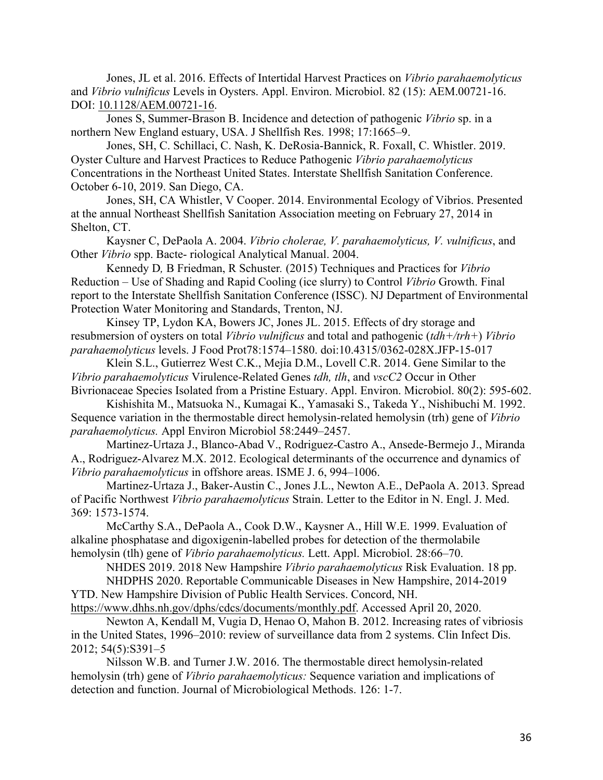Jones, JL et al. 2016. Effects of Intertidal Harvest Practices on *Vibrio parahaemolyticus* and *Vibrio vulnificus* Levels in Oysters. Appl. Environ. Microbiol. 82 (15): AEM.00721-16. DOI: 10.1128/AEM.00721-16.

Jones S, Summer-Brason B. Incidence and detection of pathogenic *Vibrio* sp. in a northern New England estuary, USA. J Shellfish Res. 1998; 17:1665–9.

Jones, SH, C. Schillaci, C. Nash, K. DeRosia-Bannick, R. Foxall, C. Whistler. 2019. Oyster Culture and Harvest Practices to Reduce Pathogenic *Vibrio parahaemolyticus* Concentrations in the Northeast United States. Interstate Shellfish Sanitation Conference. October 6-10, 2019. San Diego, CA.

Jones, SH, CA Whistler, V Cooper. 2014. Environmental Ecology of Vibrios. Presented at the annual Northeast Shellfish Sanitation Association meeting on February 27, 2014 in Shelton, CT.

Kaysner C, DePaola A. 2004. *Vibrio cholerae, V. parahaemolyticus, V. vulnificus*, and Other *Vibrio* spp. Bacte- riological Analytical Manual. 2004.

Kennedy D*,* B Friedman, R Schuster*.* (2015) Techniques and Practices for *Vibrio*  Reduction – Use of Shading and Rapid Cooling (ice slurry) to Control *Vibrio* Growth. Final report to the Interstate Shellfish Sanitation Conference (ISSC). NJ Department of Environmental Protection Water Monitoring and Standards, Trenton, NJ.

Kinsey TP, Lydon KA, Bowers JC, Jones JL. 2015. Effects of dry storage and resubmersion of oysters on total *Vibrio vulnificus* and total and pathogenic (*tdh+/trh+*) *Vibrio parahaemolyticus* levels. J Food Prot78:1574–1580. doi:10.4315/0362-028X.JFP-15-017

Klein S.L., Gutierrez West C.K., Mejia D.M., Lovell C.R. 2014. Gene Similar to the *Vibrio parahaemolyticus* Virulence-Related Genes *tdh, tlh*, and *vscC2* Occur in Other Bivrionaceae Species Isolated from a Pristine Estuary. Appl. Environ. Microbiol. 80(2): 595-602.

Kishishita M., Matsuoka N., Kumagai K., Yamasaki S., Takeda Y., Nishibuchi M. 1992. Sequence variation in the thermostable direct hemolysin-related hemolysin (trh) gene of *Vibrio parahaemolyticus.* Appl Environ Microbiol 58:2449–2457.

Martinez-Urtaza J., Blanco-Abad V., Rodriguez-Castro A., Ansede-Bermejo J., Miranda A., Rodriguez-Alvarez M.X. 2012. Ecological determinants of the occurrence and dynamics of *Vibrio parahaemolyticus* in offshore areas. ISME J. 6, 994–1006.

Martinez-Urtaza J., Baker-Austin C., Jones J.L., Newton A.E., DePaola A. 2013. Spread of Pacific Northwest *Vibrio parahaemolyticus* Strain. Letter to the Editor in N. Engl. J. Med. 369: 1573-1574.

McCarthy S.A., DePaola A., Cook D.W., Kaysner A., Hill W.E. 1999. Evaluation of alkaline phosphatase and digoxigenin-labelled probes for detection of the thermolabile hemolysin (tlh) gene of *Vibrio parahaemolyticus.* Lett. Appl. Microbiol. 28:66–70.

NHDES 2019. 2018 New Hampshire *Vibrio parahaemolyticus* Risk Evaluation. 18 pp. NHDPHS 2020. Reportable Communicable Diseases in New Hampshire, 2014-2019

YTD. New Hampshire Division of Public Health Services. Concord, NH.

https://www.dhhs.nh.gov/dphs/cdcs/documents/monthly.pdf. Accessed April 20, 2020.

Newton A, Kendall M, Vugia D, Henao O, Mahon B. 2012. Increasing rates of vibriosis in the United States, 1996–2010: review of surveillance data from 2 systems. Clin Infect Dis. 2012; 54(5):S391–5

Nilsson W.B. and Turner J.W. 2016. The thermostable direct hemolysin-related hemolysin (trh) gene of *Vibrio parahaemolyticus:* Sequence variation and implications of detection and function. Journal of Microbiological Methods. 126: 1-7.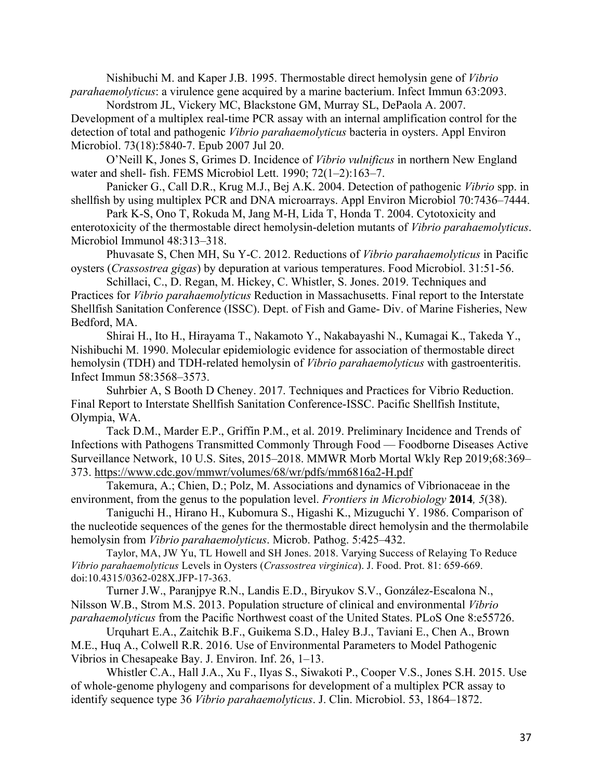Nishibuchi M. and Kaper J.B. 1995. Thermostable direct hemolysin gene of *Vibrio parahaemolyticus*: a virulence gene acquired by a marine bacterium. Infect Immun 63:2093.

Nordstrom JL, Vickery MC, Blackstone GM, Murray SL, DePaola A. 2007.

Development of a multiplex real-time PCR assay with an internal amplification control for the detection of total and pathogenic *Vibrio parahaemolyticus* bacteria in oysters. Appl Environ Microbiol. 73(18):5840-7. Epub 2007 Jul 20.

O'Neill K, Jones S, Grimes D. Incidence of *Vibrio vulnificus* in northern New England water and shell- fish. FEMS Microbiol Lett. 1990; 72(1–2):163–7.

Panicker G., Call D.R., Krug M.J., Bej A.K. 2004. Detection of pathogenic *Vibrio* spp. in shellfish by using multiplex PCR and DNA microarrays. Appl Environ Microbiol 70:7436–7444.

Park K-S, Ono T, Rokuda M, Jang M-H, Lida T, Honda T. 2004. Cytotoxicity and enterotoxicity of the thermostable direct hemolysin-deletion mutants of *Vibrio parahaemolyticus*. Microbiol Immunol 48:313–318.

Phuvasate S, Chen MH, Su Y-C. 2012. Reductions of *Vibrio parahaemolyticus* in Pacific oysters (*Crassostrea gigas*) by depuration at various temperatures. Food Microbiol. 31:51-56.

Schillaci, C., D. Regan, M. Hickey, C. Whistler, S. Jones. 2019. Techniques and Practices for *Vibrio parahaemolyticus* Reduction in Massachusetts. Final report to the Interstate Shellfish Sanitation Conference (ISSC). Dept. of Fish and Game- Div. of Marine Fisheries, New Bedford, MA.

Shirai H., Ito H., Hirayama T., Nakamoto Y., Nakabayashi N., Kumagai K., Takeda Y., Nishibuchi M. 1990. Molecular epidemiologic evidence for association of thermostable direct hemolysin (TDH) and TDH-related hemolysin of *Vibrio parahaemolyticus* with gastroenteritis. Infect Immun 58:3568–3573.

Suhrbier A, S Booth D Cheney. 2017. Techniques and Practices for Vibrio Reduction. Final Report to Interstate Shellfish Sanitation Conference-ISSC. Pacific Shellfish Institute, Olympia, WA.

Tack D.M., Marder E.P., Griffin P.M., et al. 2019. Preliminary Incidence and Trends of Infections with Pathogens Transmitted Commonly Through Food — Foodborne Diseases Active Surveillance Network, 10 U.S. Sites, 2015–2018. MMWR Morb Mortal Wkly Rep 2019;68:369– 373. https://www.cdc.gov/mmwr/volumes/68/wr/pdfs/mm6816a2-H.pdf

Takemura, A.; Chien, D.; Polz, M. Associations and dynamics of Vibrionaceae in the environment, from the genus to the population level. *Frontiers in Microbiology* **2014***, 5*(38).

Taniguchi H., Hirano H., Kubomura S., Higashi K., Mizuguchi Y. 1986. Comparison of the nucleotide sequences of the genes for the thermostable direct hemolysin and the thermolabile hemolysin from *Vibrio parahaemolyticus*. Microb. Pathog. 5:425–432.

Taylor, MA, JW Yu, TL Howell and SH Jones. 2018. Varying Success of Relaying To Reduce *Vibrio parahaemolyticus* Levels in Oysters (*Crassostrea virginica*). J. Food. Prot. 81: 659-669. doi:10.4315/0362-028X.JFP-17-363.

Turner J.W., Paranjpye R.N., Landis E.D., Biryukov S.V., González-Escalona N., Nilsson W.B., Strom M.S. 2013. Population structure of clinical and environmental *Vibrio parahaemolyticus* from the Pacific Northwest coast of the United States. PLoS One 8:e55726.

Urquhart E.A., Zaitchik B.F., Guikema S.D., Haley B.J., Taviani E., Chen A., Brown M.E., Huq A., Colwell R.R. 2016. Use of Environmental Parameters to Model Pathogenic Vibrios in Chesapeake Bay. J. Environ. Inf. 26, 1–13.

Whistler C.A., Hall J.A., Xu F., Ilyas S., Siwakoti P., Cooper V.S., Jones S.H. 2015. Use of whole-genome phylogeny and comparisons for development of a multiplex PCR assay to identify sequence type 36 *Vibrio parahaemolyticus*. J. Clin. Microbiol. 53, 1864–1872.